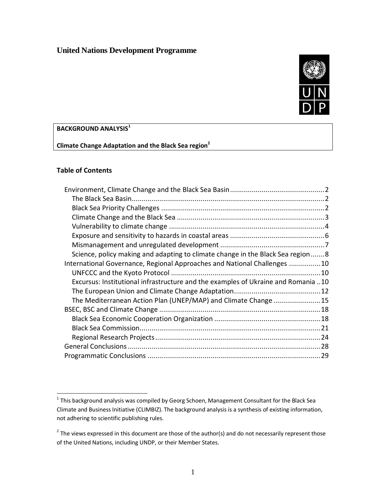# **United Nations Development Programme**



## **BACKGROUND ANALYSIS<sup>1</sup>**

**Climate Change Adaptation and the Black Sea region<sup>2</sup>**

## **Table of Contents**

| Science, policy making and adapting to climate change in the Black Sea region8    |  |
|-----------------------------------------------------------------------------------|--|
| International Governance, Regional Approaches and National Challenges 10          |  |
|                                                                                   |  |
| Excursus: Institutional infrastructure and the examples of Ukraine and Romania 10 |  |
|                                                                                   |  |
| The Mediterranean Action Plan (UNEP/MAP) and Climate Change15                     |  |
|                                                                                   |  |
|                                                                                   |  |
|                                                                                   |  |
|                                                                                   |  |
|                                                                                   |  |
|                                                                                   |  |

 1 This background analysis was compiled by Georg Schoen, Management Consultant for the Black Sea Climate and Business Initiative (CLIMBIZ). The background analysis is a synthesis of existing information, not adhering to scientific publishing rules.

 $2$  The views expressed in this document are those of the author(s) and do not necessarily represent those of the United Nations, including UNDP, or their Member States.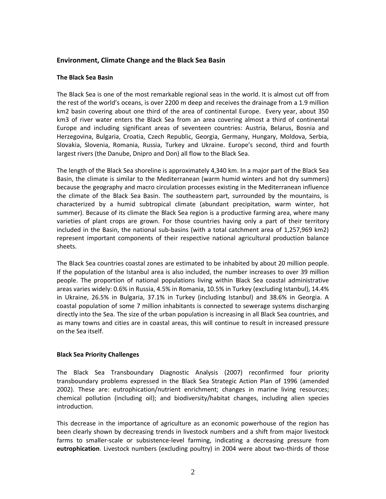## <span id="page-1-0"></span>**Environment, Climate Change and the Black Sea Basin**

#### <span id="page-1-1"></span>**The Black Sea Basin**

The Black Sea is one of the most remarkable regional seas in the world. It is almost cut off from the rest of the world's oceans, is over 2200 m deep and receives the drainage from a 1.9 million km2 basin covering about one third of the area of continental Europe. Every year, about 350 km3 of river water enters the Black Sea from an area covering almost a third of continental Europe and including significant areas of seventeen countries: Austria, Belarus, Bosnia and Herzegovina, Bulgaria, Croatia, Czech Republic, Georgia, Germany, Hungary, Moldova, Serbia, Slovakia, Slovenia, Romania, Russia, Turkey and Ukraine. Europe's second, third and fourth largest rivers (the Danube, Dnipro and Don) all flow to the Black Sea.

The length of the Black Sea shoreline is approximately 4,340 km. In a major part of the Black Sea Basin, the climate is similar to the Mediterranean (warm humid winters and hot dry summers) because the geography and macro circulation processes existing in the Mediterranean influence the climate of the Black Sea Basin. The southeastern part, surrounded by the mountains, is characterized by a humid subtropical climate (abundant precipitation, warm winter, hot summer). Because of its climate the Black Sea region is a productive farming area, where many varieties of plant crops are grown. For those countries having only a part of their territory included in the Basin, the national sub-basins (with a total catchment area of 1,257,969 km2) represent important components of their respective national agricultural production balance sheets.

The Black Sea countries coastal zones are estimated to be inhabited by about 20 million people. If the population of the Istanbul area is also included, the number increases to over 39 million people. The proportion of national populations living within Black Sea coastal administrative areas varies widely: 0.6% in Russia, 4.5% in Romania, 10.5% in Turkey (excluding Istanbul), 14.4% in Ukraine, 26.5% in Bulgaria, 37.1% in Turkey (including Istanbul) and 38.6% in Georgia. A coastal population of some 7 million inhabitants is connected to sewerage systems discharging directly into the Sea. The size of the urban population is increasing in all Black Sea countries, and as many towns and cities are in coastal areas, this will continue to result in increased pressure on the Sea itself.

### <span id="page-1-2"></span>**Black Sea Priority Challenges**

The Black Sea Transboundary Diagnostic Analysis (2007) reconfirmed four priority transboundary problems expressed in the Black Sea Strategic Action Plan of 1996 (amended 2002). These are: eutrophication/nutrient enrichment; changes in marine living resources; chemical pollution (including oil); and biodiversity/habitat changes, including alien species introduction.

This decrease in the importance of agriculture as an economic powerhouse of the region has been clearly shown by decreasing trends in livestock numbers and a shift from major livestock farms to smaller-scale or subsistence-level farming, indicating a decreasing pressure from **eutrophication**. Livestock numbers (excluding poultry) in 2004 were about two-thirds of those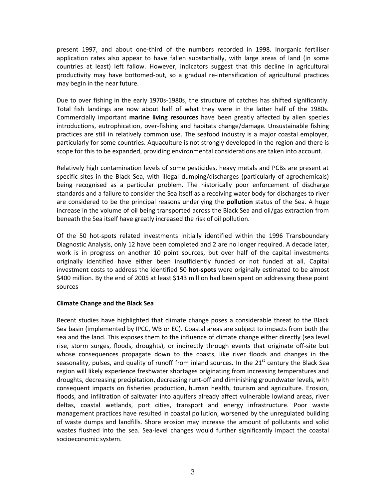present 1997, and about one-third of the numbers recorded in 1998. Inorganic fertiliser application rates also appear to have fallen substantially, with large areas of land (in some countries at least) left fallow. However, indicators suggest that this decline in agricultural productivity may have bottomed-out, so a gradual re-intensification of agricultural practices may begin in the near future.

Due to over fishing in the early 1970s-1980s, the structure of catches has shifted significantly. Total fish landings are now about half of what they were in the latter half of the 1980s. Commercially important **marine living resources** have been greatly affected by alien species introductions, eutrophication, over-fishing and habitats change/damage. Unsustainable fishing practices are still in relatively common use. The seafood industry is a major coastal employer, particularly for some countries. Aquaculture is not strongly developed in the region and there is scope for this to be expanded, providing environmental considerations are taken into account.

Relatively high contamination levels of some pesticides, heavy metals and PCBs are present at specific sites in the Black Sea, with illegal dumping/discharges (particularly of agrochemicals) being recognised as a particular problem. The historically poor enforcement of discharge standards and a failure to consider the Sea itself as a receiving water body for discharges to river are considered to be the principal reasons underlying the **pollution** status of the Sea. A huge increase in the volume of oil being transported across the Black Sea and oil/gas extraction from beneath the Sea itself have greatly increased the risk of oil pollution.

Of the 50 hot-spots related investments initially identified within the 1996 Transboundary Diagnostic Analysis, only 12 have been completed and 2 are no longer required. A decade later, work is in progress on another 10 point sources, but over half of the capital investments originally identified have either been insufficiently funded or not funded at all. Capital investment costs to address the identified 50 **hot-spots** were originally estimated to be almost \$400 million. By the end of 2005 at least \$143 million had been spent on addressing these point sources

### <span id="page-2-0"></span>**Climate Change and the Black Sea**

Recent studies have highlighted that climate change poses a considerable threat to the Black Sea basin (implemented by IPCC, WB or EC). Coastal areas are subject to impacts from both the sea and the land. This exposes them to the influence of climate change either directly (sea level rise, storm surges, floods, droughts), or indirectly through events that originate off‐site but whose consequences propagate down to the coasts, like river floods and changes in the seasonality, pulses, and quality of runoff from inland sources. In the 21<sup>st</sup> century the Black Sea region will likely experience freshwater shortages originating from increasing temperatures and droughts, decreasing precipitation, decreasing runt-off and diminishing groundwater levels, with consequent impacts on fisheries production, human health, tourism and agriculture. Erosion, floods, and infiltration of saltwater into aquifers already affect vulnerable lowland areas, river deltas, coastal wetlands, port cities, transport and energy infrastructure. Poor waste management practices have resulted in coastal pollution, worsened by the unregulated building of waste dumps and landfills. Shore erosion may increase the amount of pollutants and solid wastes flushed into the sea. Sea-level changes would further significantly impact the coastal socioeconomic system.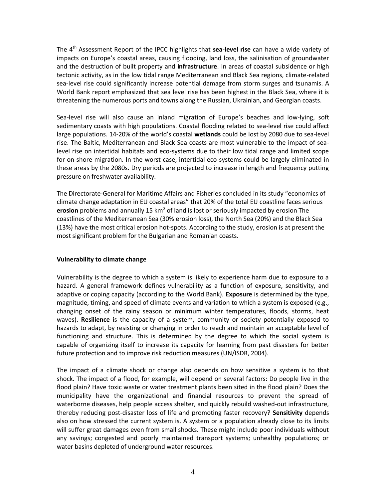The 4th Assessment Report of the IPCC highlights that **sea-level rise** can have a wide variety of impacts on Europe's coastal areas, causing flooding, land loss, the salinisation of groundwater and the destruction of built property and **infrastructure**. In areas of coastal subsidence or high tectonic activity, as in the low tidal range Mediterranean and Black Sea regions, climate-related sea-level rise could significantly increase potential damage from storm surges and tsunamis. A World Bank report emphasized that sea level rise has been highest in the Black Sea, where it is threatening the numerous ports and towns along the Russian, Ukrainian, and Georgian coasts.

Sea-level rise will also cause an inland migration of Europe's beaches and low-lying, soft sedimentary coasts with high populations. Coastal flooding related to sea-level rise could affect large populations. 14-20% of the world's coastal **wetlands** could be lost by 2080 due to sea-level rise. The Baltic, Mediterranean and Black Sea coasts are most vulnerable to the impact of sealevel rise on intertidal habitats and eco-systems due to their low tidal range and limited scope for on-shore migration. In the worst case, intertidal eco-systems could be largely eliminated in these areas by the 2080s. Dry periods are projected to increase in length and frequency putting pressure on freshwater availability.

The Directorate-General for Maritime Affairs and Fisheries concluded in its study "economics of climate change adaptation in EU coastal areas" that 20% of the total EU coastline faces serious **erosion** problems and annually 15 km² of land is lost or seriously impacted by erosion The coastlines of the Mediterranean Sea (30% erosion loss), the North Sea (20%) and the Black Sea (13%) have the most critical erosion hot-spots. According to the study, erosion is at present the most significant problem for the Bulgarian and Romanian coasts.

### <span id="page-3-0"></span>**Vulnerability to climate change**

Vulnerability is the degree to which a system is likely to experience harm due to exposure to a hazard. A general framework defines vulnerability as a function of exposure, sensitivity, and adaptive or coping capacity (according to the World Bank). **Exposure** is determined by the type, magnitude, timing, and speed of climate events and variation to which a system is exposed (e.g., changing onset of the rainy season or minimum winter temperatures, floods, storms, heat waves). **Resilience** is the capacity of a system, community or society potentially exposed to hazards to adapt, by resisting or changing in order to reach and maintain an acceptable level of functioning and structure. This is determined by the degree to which the social system is capable of organizing itself to increase its capacity for learning from past disasters for better future protection and to improve risk reduction measures (UN/ISDR, 2004).

The impact of a climate shock or change also depends on how sensitive a system is to that shock. The impact of a flood, for example, will depend on several factors: Do people live in the flood plain? Have toxic waste or water treatment plants been sited in the flood plain? Does the municipality have the organizational and financial resources to prevent the spread of waterborne diseases, help people access shelter, and quickly rebuild washed‐out infrastructure, thereby reducing post‐disaster loss of life and promoting faster recovery? **Sensitivity** depends also on how stressed the current system is. A system or a population already close to its limits will suffer great damages even from small shocks. These might include poor individuals without any savings; congested and poorly maintained transport systems; unhealthy populations; or water basins depleted of underground water resources.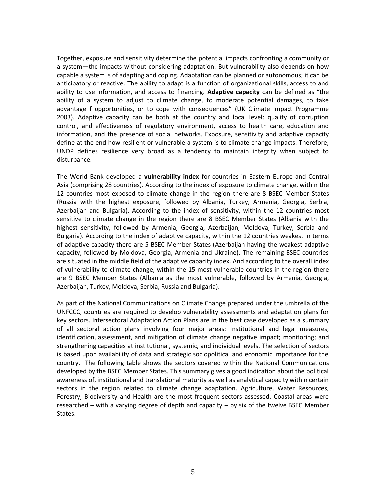Together, exposure and sensitivity determine the potential impacts confronting a community or a system—the impacts without considering adaptation. But vulnerability also depends on how capable a system is of adapting and coping. Adaptation can be planned or autonomous; it can be anticipatory or reactive. The ability to adapt is a function of organizational skills, access to and ability to use information, and access to financing. **Adaptive capacity** can be defined as "the ability of a system to adjust to climate change, to moderate potential damages, to take advantage f opportunities, or to cope with consequences" (UK Climate Impact Programme 2003). Adaptive capacity can be both at the country and local level: quality of corruption control, and effectiveness of regulatory environment, access to health care, education and information, and the presence of social networks. Exposure, sensitivity and adaptive capacity define at the end how resilient or vulnerable a system is to climate change impacts. Therefore, UNDP defines resilience very broad as a tendency to maintain integrity when subject to disturbance.

The World Bank developed a **vulnerability index** for countries in Eastern Europe and Central Asia (comprising 28 countries). According to the index of exposure to climate change, within the 12 countries most exposed to climate change in the region there are 8 BSEC Member States (Russia with the highest exposure, followed by Albania, Turkey, Armenia, Georgia, Serbia, Azerbaijan and Bulgaria). According to the index of sensitivity, within the 12 countries most sensitive to climate change in the region there are 8 BSEC Member States (Albania with the highest sensitivity, followed by Armenia, Georgia, Azerbaijan, Moldova, Turkey, Serbia and Bulgaria). According to the index of adaptive capacity, within the 12 countries weakest in terms of adaptive capacity there are 5 BSEC Member States (Azerbaijan having the weakest adaptive capacity, followed by Moldova, Georgia, Armenia and Ukraine). The remaining BSEC countries are situated in the middle field of the adaptive capacity index. And according to the overall index of vulnerability to climate change, within the 15 most vulnerable countries in the region there are 9 BSEC Member States (Albania as the most vulnerable, followed by Armenia, Georgia, Azerbaijan, Turkey, Moldova, Serbia, Russia and Bulgaria).

As part of the National Communications on Climate Change prepared under the umbrella of the UNFCCC, countries are required to develop vulnerability assessments and adaptation plans for key sectors. Intersectoral Adaptation Action Plans are in the best case developed as a summary of all sectoral action plans involving four major areas: Institutional and legal measures; identification, assessment, and mitigation of climate change negative impact; monitoring; and strengthening capacities at institutional, systemic, and individual levels. The selection of sectors is based upon availability of data and strategic sociopolitical and economic importance for the country. The following table shows the sectors covered within the National Communications developed by the BSEC Member States. This summary gives a good indication about the political awareness of, institutional and translational maturity as well as analytical capacity within certain sectors in the region related to climate change adaptation. Agriculture, Water Resources, Forestry, Biodiversity and Health are the most frequent sectors assessed. Coastal areas were researched – with a varying degree of depth and capacity – by six of the twelve BSEC Member States.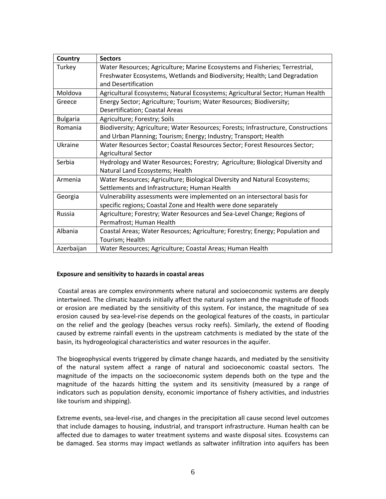| Country         | <b>Sectors</b>                                                                     |
|-----------------|------------------------------------------------------------------------------------|
| Turkey          | Water Resources; Agriculture; Marine Ecosystems and Fisheries; Terrestrial,        |
|                 | Freshwater Ecosystems, Wetlands and Biodiversity; Health; Land Degradation         |
|                 | and Desertification                                                                |
| Moldova         | Agricultural Ecosystems; Natural Ecosystems; Agricultural Sector; Human Health     |
| Greece          | Energy Sector; Agriculture; Tourism; Water Resources; Biodiversity;                |
|                 | <b>Desertification; Coastal Areas</b>                                              |
| <b>Bulgaria</b> | Agriculture; Forestry; Soils                                                       |
| Romania         | Biodiversity; Agriculture; Water Resources; Forests; Infrastructure, Constructions |
|                 | and Urban Planning; Tourism; Energy; Industry; Transport; Health                   |
| Ukraine         | Water Resources Sector; Coastal Resources Sector; Forest Resources Sector;         |
|                 | <b>Agricultural Sector</b>                                                         |
| Serbia          | Hydrology and Water Resources; Forestry; Agriculture; Biological Diversity and     |
|                 | Natural Land Ecosystems; Health                                                    |
| Armenia         | Water Resources; Agriculture; Biological Diversity and Natural Ecosystems;         |
|                 | Settlements and Infrastructure; Human Health                                       |
| Georgia         | Vulnerability assessments were implemented on an intersectoral basis for           |
|                 | specific regions; Coastal Zone and Health were done separately                     |
| Russia          | Agriculture; Forestry; Water Resources and Sea-Level Change; Regions of            |
|                 | Permafrost; Human Health                                                           |
| Albania         | Coastal Areas; Water Resources; Agriculture; Forestry; Energy; Population and      |
|                 | Tourism; Health                                                                    |
| Azerbaijan      | Water Resources; Agriculture; Coastal Areas; Human Health                          |

### <span id="page-5-0"></span>**Exposure and sensitivity to hazards in coastal areas**

Coastal areas are complex environments where natural and socioeconomic systems are deeply intertwined. The climatic hazards initially affect the natural system and the magnitude of floods or erosion are mediated by the sensitivity of this system. For instance, the magnitude of sea erosion caused by sea-level-rise depends on the geological features of the coasts, in particular on the relief and the geology (beaches versus rocky reefs). Similarly, the extend of flooding caused by extreme rainfall events in the upstream catchments is mediated by the state of the basin, its hydrogeological characteristics and water resources in the aquifer.

The biogeophysical events triggered by climate change hazards, and mediated by the sensitivity of the natural system affect a range of natural and socioeconomic coastal sectors. The magnitude of the impacts on the socioeconomic system depends both on the type and the magnitude of the hazards hitting the system and its sensitivity (measured by a range of indicators such as population density, economic importance of fishery activities, and industries like tourism and shipping).

Extreme events, sea-level-rise, and changes in the precipitation all cause second level outcomes that include damages to housing, industrial, and transport infrastructure. Human health can be affected due to damages to water treatment systems and waste disposal sites. Ecosystems can be damaged. Sea storms may impact wetlands as saltwater infiltration into aquifers has been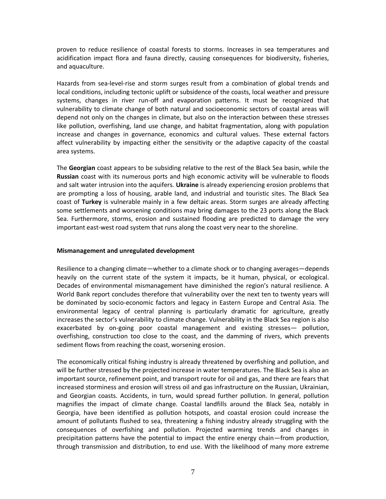proven to reduce resilience of coastal forests to storms. Increases in sea temperatures and acidification impact flora and fauna directly, causing consequences for biodiversity, fisheries, and aquaculture.

Hazards from sea-level-rise and storm surges result from a combination of global trends and local conditions, including tectonic uplift or subsidence of the coasts, local weather and pressure systems, changes in river run-off and evaporation patterns. It must be recognized that vulnerability to climate change of both natural and socioeconomic sectors of coastal areas will depend not only on the changes in climate, but also on the interaction between these stresses like pollution, overfishing, land use change, and habitat fragmentation, along with population increase and changes in governance, economics and cultural values. These external factors affect vulnerability by impacting either the sensitivity or the adaptive capacity of the coastal area systems.

The **Georgian** coast appears to be subsiding relative to the rest of the Black Sea basin, while the **Russian** coast with its numerous ports and high economic activity will be vulnerable to floods and salt water intrusion into the aquifers. **Ukraine** is already experiencing erosion problems that are prompting a loss of housing, arable land, and industrial and touristic sites. The Black Sea coast of **Turkey** is vulnerable mainly in a few deltaic areas. Storm surges are already affecting some settlements and worsening conditions may bring damages to the 23 ports along the Black Sea. Furthermore, storms, erosion and sustained flooding are predicted to damage the very important east-west road system that runs along the coast very near to the shoreline.

#### <span id="page-6-0"></span>**Mismanagement and unregulated development**

Resilience to a changing climate—whether to a climate shock or to changing averages—depends heavily on the current state of the system it impacts, be it human, physical, or ecological. Decades of environmental mismanagement have diminished the region's natural resilience. A World Bank report concludes therefore that vulnerability over the next ten to twenty years will be dominated by socio‐economic factors and legacy in Eastern Europe and Central Asia. The environmental legacy of central planning is particularly dramatic for agriculture, greatly increases the sector's vulnerability to climate change. Vulnerability in the Black Sea region is also exacerbated by on-going poor coastal management and existing stresses— pollution, overfishing, construction too close to the coast, and the damming of rivers, which prevents sediment flows from reaching the coast, worsening erosion.

The economically critical fishing industry is already threatened by overfishing and pollution, and will be further stressed by the projected increase in water temperatures. The Black Sea is also an important source, refinement point, and transport route for oil and gas, and there are fears that increased storminess and erosion will stress oil and gas infrastructure on the Russian, Ukrainian, and Georgian coasts. Accidents, in turn, would spread further pollution. In general, pollution magnifies the impact of climate change. Coastal landfills around the Black Sea, notably in Georgia, have been identified as pollution hotspots, and coastal erosion could increase the amount of pollutants flushed to sea, threatening a fishing industry already struggling with the consequences of overfishing and pollution. Projected warming trends and changes in precipitation patterns have the potential to impact the entire energy chain—from production, through transmission and distribution, to end use. With the likelihood of many more extreme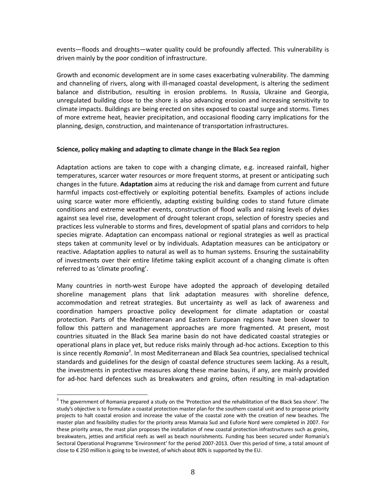events—floods and droughts—water quality could be profoundly affected. This vulnerability is driven mainly by the poor condition of infrastructure.

Growth and economic development are in some cases exacerbating vulnerability. The damming and channeling of rivers, along with ill-managed coastal development, is altering the sediment balance and distribution, resulting in erosion problems. In Russia, Ukraine and Georgia, unregulated building close to the shore is also advancing erosion and increasing sensitivity to climate impacts. Buildings are being erected on sites exposed to coastal surge and storms. Times of more extreme heat, heavier precipitation, and occasional flooding carry implications for the planning, design, construction, and maintenance of transportation infrastructures.

#### <span id="page-7-0"></span>**Science, policy making and adapting to climate change in the Black Sea region**

Adaptation actions are taken to cope with a changing climate, e.g. increased rainfall, higher temperatures, scarcer water resources or more frequent storms, at present or anticipating such changes in the future. **Adaptation** aims at reducing the risk and damage from current and future harmful impacts cost-effectively or exploiting potential benefits. Examples of actions include using scarce water more efficiently, adapting existing building codes to stand future climate conditions and extreme weather events, construction of flood walls and raising levels of dykes against sea level rise, development of drought tolerant crops, selection of forestry species and practices less vulnerable to storms and fires, development of spatial plans and corridors to help species migrate. Adaptation can encompass national or regional strategies as well as practical steps taken at community level or by individuals. Adaptation measures can be anticipatory or reactive. Adaptation applies to natural as well as to human systems. Ensuring the sustainability of investments over their entire lifetime taking explicit account of a changing climate is often referred to as 'climate proofing'.

Many countries in north-west Europe have adopted the approach of developing detailed shoreline management plans that link adaptation measures with shoreline defence, accommodation and retreat strategies. But uncertainty as well as lack of awareness and coordination hampers proactive policy development for climate adaptation or coastal protection. Parts of the Mediterranean and Eastern European regions have been slower to follow this pattern and management approaches are more fragmented. At present, most countries situated in the Black Sea marine basin do not have dedicated coastal strategies or operational plans in place yet, but reduce risks mainly through ad-hoc actions. Exception to this is since recently *Romania<sup>3</sup>* . In most Mediterranean and Black Sea countries, specialised technical standards and guidelines for the design of coastal defence structures seem lacking. As a result, the investments in protective measures along these marine basins, if any, are mainly provided for ad-hoc hard defences such as breakwaters and groins, often resulting in mal-adaptation

 $\overline{a}$ 

 $3$  The government of Romania prepared a study on the 'Protection and the rehabilitation of the Black Sea shore'. The study's objective is to formulate a coastal protection master plan for the southern coastal unit and to propose priority projects to halt coastal erosion and increase the value of the coastal zone with the creation of new beaches. The master plan and feasibility studies for the priority areas Mamaia Sud and Euforie Nord were completed in 2007. For these priority areas, the mast plan proposes the installation of new coastal protection infrastructures such as groins, breakwaters, jetties and artificial reefs as well as beach nourishments. Funding has been secured under Romania's Sectoral Operational Programme 'Environment' for the period 2007-2013. Over this period of time, a total amount of close to € 250 million is going to be invested, of which about 80% is supported by the EU.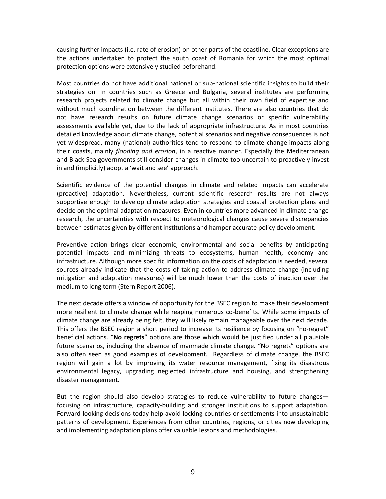causing further impacts (i.e. rate of erosion) on other parts of the coastline. Clear exceptions are the actions undertaken to protect the south coast of Romania for which the most optimal protection options were extensively studied beforehand.

Most countries do not have additional national or sub-national scientific insights to build their strategies on. In countries such as Greece and Bulgaria, several institutes are performing research projects related to climate change but all within their own field of expertise and without much coordination between the different institutes. There are also countries that do not have research results on future climate change scenarios or specific vulnerability assessments available yet, due to the lack of appropriate infrastructure. As in most countries detailed knowledge about climate change, potential scenarios and negative consequences is not yet widespread, many (national) authorities tend to respond to climate change impacts along their coasts, mainly *flooding and erosion*, in a reactive manner. Especially the Mediterranean and Black Sea governments still consider changes in climate too uncertain to proactively invest in and (implicitly) adopt a 'wait and see' approach.

Scientific evidence of the potential changes in climate and related impacts can accelerate (proactive) adaptation. Nevertheless, current scientific research results are not always supportive enough to develop climate adaptation strategies and coastal protection plans and decide on the optimal adaptation measures. Even in countries more advanced in climate change research, the uncertainties with respect to meteorological changes cause severe discrepancies between estimates given by different institutions and hamper accurate policy development.

Preventive action brings clear economic, environmental and social benefits by anticipating potential impacts and minimizing threats to ecosystems, human health, economy and infrastructure. Although more specific information on the costs of adaptation is needed, several sources already indicate that the costs of taking action to address climate change (including mitigation and adaptation measures) will be much lower than the costs of inaction over the medium to long term (Stern Report 2006).

The next decade offers a window of opportunity for the BSEC region to make their development more resilient to climate change while reaping numerous co-benefits. While some impacts of climate change are already being felt, they will likely remain manageable over the next decade. This offers the BSEC region a short period to increase its resilience by focusing on "no‐regret" beneficial actions. "**No regrets**" options are those which would be justified under all plausible future scenarios, including the absence of manmade climate change. "No regrets" options are also often seen as good examples of development. Regardless of climate change, the BSEC region will gain a lot by improving its water resource management, fixing its disastrous environmental legacy, upgrading neglected infrastructure and housing, and strengthening disaster management.

But the region should also develop strategies to reduce vulnerability to future changes focusing on infrastructure, capacity-building and stronger institutions to support adaptation. Forward‐looking decisions today help avoid locking countries or settlements into unsustainable patterns of development. Experiences from other countries, regions, or cities now developing and implementing adaptation plans offer valuable lessons and methodologies.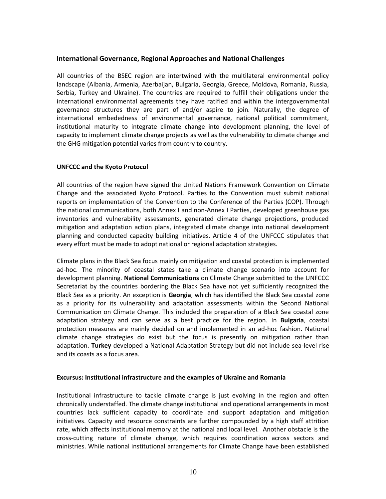## <span id="page-9-0"></span>**International Governance, Regional Approaches and National Challenges**

All countries of the BSEC region are intertwined with the multilateral environmental policy landscape (Albania, Armenia, Azerbaijan, Bulgaria, Georgia, Greece, Moldova, Romania, Russia, Serbia, Turkey and Ukraine). The countries are required to fulfill their obligations under the international environmental agreements they have ratified and within the intergovernmental governance structures they are part of and/or aspire to join. Naturally, the degree of international embededness of environmental governance, national political commitment, institutional maturity to integrate climate change into development planning, the level of capacity to implement climate change projects as well as the vulnerability to climate change and the GHG mitigation potential varies from country to country.

### <span id="page-9-1"></span>**UNFCCC and the Kyoto Protocol**

All countries of the region have signed the United Nations Framework Convention on Climate Change and the associated Kyoto Protocol. Parties to the Convention must submit national reports on implementation of the Convention to the Conference of the Parties (COP). Through the national communications, both Annex I and non-Annex I Parties, developed greenhouse gas inventories and vulnerability assessments, generated climate change projections, produced mitigation and adaptation action plans, integrated climate change into national development planning and conducted capacity building initiatives. Article 4 of the UNFCCC stipulates that every effort must be made to adopt national or regional adaptation strategies.

Climate plans in the Black Sea focus mainly on mitigation and coastal protection is implemented ad-hoc. The minority of coastal states take a climate change scenario into account for development planning. **National Communications** on Climate Change submitted to the UNFCCC Secretariat by the countries bordering the Black Sea have not yet sufficiently recognized the Black Sea as a priority. An exception is **Georgia**, which has identified the Black Sea coastal zone as a priority for its vulnerability and adaptation assessments within the Second National Communication on Climate Change. This included the preparation of a Black Sea coastal zone adaptation strategy and can serve as a best practice for the region. In **Bulgaria**, coastal protection measures are mainly decided on and implemented in an ad-hoc fashion. National climate change strategies do exist but the focus is presently on mitigation rather than adaptation. **Turkey** developed a National Adaptation Strategy but did not include sea-level rise and its coasts as a focus area.

#### <span id="page-9-2"></span>**Excursus: Institutional infrastructure and the examples of Ukraine and Romania**

Institutional infrastructure to tackle climate change is just evolving in the region and often chronically understaffed. The climate change institutional and operational arrangements in most countries lack sufficient capacity to coordinate and support adaptation and mitigation initiatives. Capacity and resource constraints are further compounded by a high staff attrition rate, which affects institutional memory at the national and local level. Another obstacle is the cross-cutting nature of climate change, which requires coordination across sectors and ministries. While national institutional arrangements for Climate Change have been established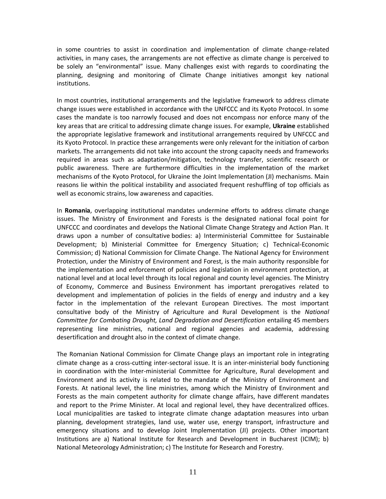in some countries to assist in coordination and implementation of climate change-related activities, in many cases, the arrangements are not effective as climate change is perceived to be solely an "environmental" issue. Many challenges exist with regards to coordinating the planning, designing and monitoring of Climate Change initiatives amongst key national institutions.

In most countries, institutional arrangements and the legislative framework to address climate change issues were established in accordance with the UNFCCC and its Kyoto Protocol. In some cases the mandate is too narrowly focused and does not encompass nor enforce many of the key areas that are critical to addressing climate change issues. For example, **Ukraine** established the appropriate legislative framework and institutional arrangements required by UNFCCC and its Kyoto Protocol. In practice these arrangements were only relevant for the initiation of carbon markets. The arrangements did not take into account the strong capacity needs and frameworks required in areas such as adaptation/mitigation, technology transfer, scientific research or public awareness. There are furthermore difficulties in the implementation of the market mechanisms of the Kyoto Protocol, for Ukraine the Joint Implementation (JI) mechanisms. Main reasons lie within the political instability and associated frequent reshuffling of top officials as well as economic strains, low awareness and capacities.

In **Romania**, overlapping institutional mandates undermine efforts to address climate change issues. The Ministry of Environment and Forests is the designated national focal point for UNFCCC and coordinates and develops the National Climate Change Strategy and Action Plan. It draws upon a number of consultative bodies: a) Interministerial Committee for Sustainable Development; b) Ministerial Committee for Emergency Situation; c) Technical-Economic Commission; d) National Commission for Climate Change. The National Agency for Environment Protection, under the Ministry of Environment and Forest, is the main authority responsible for the implementation and enforcement of policies and legislation in environment protection, at national level and at local level through its local regional and county level agencies. The Ministry of Economy, Commerce and Business Environment has important prerogatives related to development and implementation of policies in the fields of energy and industry and a key factor in the implementation of the relevant European Directives. The most important consultative body of the Ministry of Agriculture and Rural Development is the *National Committee for Combating Drought, Land Degradation and Desertification* entailing 45 members representing line ministries, national and regional agencies and academia, addressing desertification and drought also in the context of climate change.

The Romanian National Commission for Climate Change plays an important role in integrating climate change as a cross-cutting inter-sectoral issue. It is an inter-ministerial body functioning in coordination with the Inter-ministerial Committee for Agriculture, Rural development and Environment and its activity is related to the mandate of the Ministry of Environment and Forests. At national level, the line ministries, among which the Ministry of Environment and Forests as the main competent authority for climate change affairs, have different mandates and report to the Prime Minister. At local and regional level, they have decentralized offices. Local municipalities are tasked to integrate climate change adaptation measures into urban planning, development strategies, land use, water use, energy transport, infrastructure and emergency situations and to develop Joint Implementation (JI) projects. Other important Institutions are a) National Institute for Research and Development in Bucharest (ICIM); b) National Meteorology Administration; c) The Institute for Research and Forestry.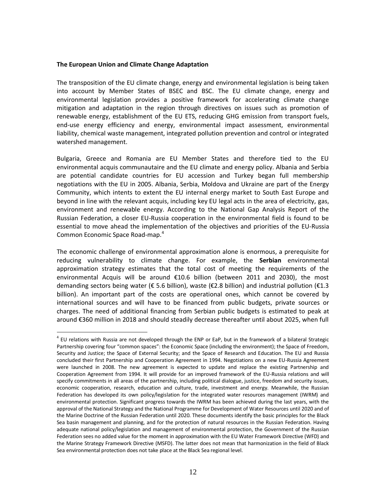#### <span id="page-11-0"></span>**The European Union and Climate Change Adaptation**

 $\overline{a}$ 

The transposition of the EU climate change, energy and environmental legislation is being taken into account by Member States of BSEC and BSC. The EU climate change, energy and environmental legislation provides a positive framework for accelerating climate change mitigation and adaptation in the region through directives on issues such as promotion of renewable energy, establishment of the EU ETS, reducing GHG emission from transport fuels, end-use energy efficiency and energy, environmental impact assessment, environmental liability, chemical waste management, integrated pollution prevention and control or integrated watershed management.

Bulgaria, Greece and Romania are EU Member States and therefore tied to the EU environmental acquis communautaire and the EU climate and energy policy. Albania and Serbia are potential candidate countries for EU accession and Turkey began full membership negotiations with the EU in 2005. Albania, Serbia, Moldova and Ukraine are part of the Energy Community, which intents to extent the EU internal energy market to South East Europe and beyond in line with the relevant acquis, including key EU legal acts in the area of electricity, gas, environment and renewable energy. According to the National Gap Analysis Report of the Russian Federation, a closer EU‐Russia cooperation in the environmental field is found to be essential to move ahead the implementation of the objectives and priorities of the EU‐Russia Common Economic Space Road‐map.<sup>4</sup>

The economic challenge of environmental approximation alone is enormous, a prerequisite for reducing vulnerability to climate change. For example, the **Serbian** environmental approximation strategy estimates that the total cost of meeting the requirements of the environmental Acquis will be around €10.6 billion (between 2011 and 2030), the most demanding sectors being water (€ 5.6 billion), waste (€2.8 billion) and industrial pollution (€1.3 billion). An important part of the costs are operational ones, which cannot be covered by international sources and will have to be financed from public budgets, private sources or charges. The need of additional financing from Serbian public budgets is estimated to peak at around €360 million in 2018 and should steadily decrease thereafter until about 2025, when full

<sup>&</sup>lt;sup>4</sup> EU relations with Russia are not developed through the ENP or EaP, but in the framework of a bilateral Strategic Partnership covering four "common spaces": the Economic Space (including the environment); the Space of Freedom, Security and Justice; the Space of External Security; and the Space of Research and Education. The EU and Russia concluded their first Partnership and Cooperation Agreement in 1994. Negotiations on a new EU-Russia Agreement were launched in 2008. The new agreement is expected to update and replace the existing Partnership and Cooperation Agreement from 1994. It will provide for an improved framework of the EU-Russia relations and will specify commitments in all areas of the partnership, including political dialogue, justice, freedom and security issues, economic cooperation, research, education and culture, trade, investment and energy. Meanwhile, the Russian Federation has developed its own policy/legislation for the integrated water resources management (IWRM) and environmental protection. Significant progress towards the IWRM has been achieved during the last years, with the approval of the National Strategy and the National Programme for Development of Water Resources until 2020 and of the Marine Doctrine of the Russian Federation until 2020. These documents identify the basic principles for the Black Sea basin management and planning, and for the protection of natural resources in the Russian Federation. Having adequate national policy/legislation and management of environmental protection, the Government of the Russian Federation sees no added value for the moment in approximation with the EU Water Framework Directive (WFD) and the Marine Strategy Framework Directive (MSFD). The latter does not mean that harmonization in the field of Black Sea environmental protection does not take place at the Black Sea regional level.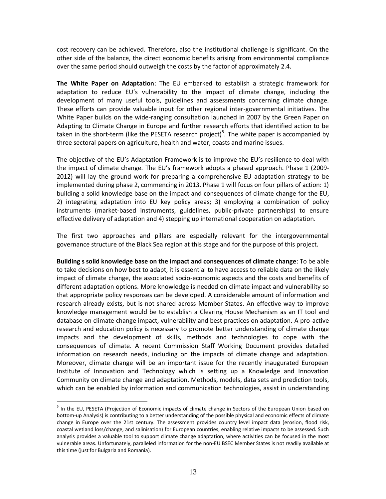cost recovery can be achieved. Therefore, also the institutional challenge is significant. On the other side of the balance, the direct economic benefits arising from environmental compliance over the same period should outweigh the costs by the factor of approximately 2.4.

**The White Paper on Adaptation**: The EU embarked to establish a strategic framework for adaptation to reduce EU's vulnerability to the impact of climate change, including the development of many useful tools, guidelines and assessments concerning climate change. These efforts can provide valuable input for other regional inter-governmental initiatives. The White Paper builds on the wide-ranging consultation launched in 2007 by the Green Paper on Adapting to Climate Change in Europe and further research efforts that identified action to be taken in the short-term (like the PESETA research project)<sup>5</sup>. The white paper is accompanied by three sectoral papers on agriculture, health and water, coasts and marine issues.

The objective of the EU's Adaptation Framework is to improve the EU's resilience to deal with the impact of climate change. The EU's framework adopts a phased approach. Phase 1 (2009- 2012) will lay the ground work for preparing a comprehensive EU adaptation strategy to be implemented during phase 2, commencing in 2013. Phase 1 will focus on four pillars of action: 1) building a solid knowledge base on the impact and consequences of climate change for the EU, 2) integrating adaptation into EU key policy areas; 3) employing a combination of policy instruments (market-based instruments, guidelines, public-private partnerships) to ensure effective delivery of adaptation and 4) stepping up international cooperation on adaptation.

The first two approaches and pillars are especially relevant for the intergovernmental governance structure of the Black Sea region at this stage and for the purpose of this project.

**Building s solid knowledge base on the impact and consequences of climate change**: To be able to take decisions on how best to adapt, it is essential to have access to reliable data on the likely impact of climate change, the associated socio-economic aspects and the costs and benefits of different adaptation options. More knowledge is needed on climate impact and vulnerability so that appropriate policy responses can be developed. A considerable amount of information and research already exists, but is not shared across Member States. An effective way to improve knowledge management would be to establish a Clearing House Mechanism as an IT tool and database on climate change impact, vulnerability and best practices on adaptation. A pro-active research and education policy is necessary to promote better understanding of climate change impacts and the development of skills, methods and technologies to cope with the consequences of climate. A recent Commission Staff Working Document provides detailed information on research needs, including on the impacts of climate change and adaptation. Moreover, climate change will be an important issue for the recently inaugurated European Institute of Innovation and Technology which is setting up a Knowledge and Innovation Community on climate change and adaptation. Methods, models, data sets and prediction tools, which can be enabled by information and communication technologies, assist in understanding

 $\overline{a}$ 

<sup>&</sup>lt;sup>5</sup> In the EU, PESETA (Projection of Economic impacts of climate change in Sectors of the European Union based on bottom-up Analysis) is contributing to a better understanding of the possible physical and economic effects of climate change in Europe over the 21st century. The assessment provides country level impact data (erosion, flood risk, coastal wetland loss/change, and salinisation) for European countries, enabling relative impacts to be assessed. Such analysis provides a valuable tool to support climate change adaptation, where activities can be focused in the most vulnerable areas. Unfortunately, paralleled information for the non-EU BSEC Member States is not readily available at this time (just for Bulgaria and Romania).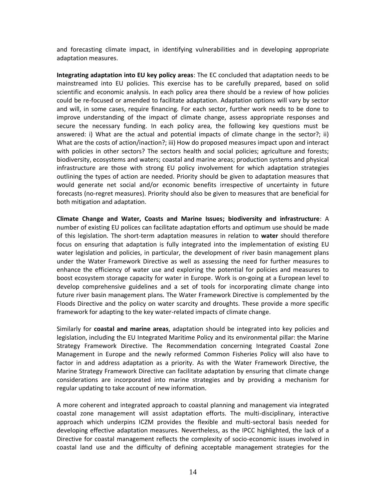and forecasting climate impact, in identifying vulnerabilities and in developing appropriate adaptation measures.

**Integrating adaptation into EU key policy areas**: The EC concluded that adaptation needs to be mainstreamed into EU policies. This exercise has to be carefully prepared, based on solid scientific and economic analysis. In each policy area there should be a review of how policies could be re-focused or amended to facilitate adaptation. Adaptation options will vary by sector and will, in some cases, require financing. For each sector, further work needs to be done to improve understanding of the impact of climate change, assess appropriate responses and secure the necessary funding. In each policy area, the following key questions must be answered: i) What are the actual and potential impacts of climate change in the sector?; ii) What are the costs of action/inaction?; iii) How do proposed measures impact upon and interact with policies in other sectors? The sectors health and social policies; agriculture and forests; biodiversity, ecosystems and waters; coastal and marine areas; production systems and physical infrastructure are those with strong EU policy involvement for which adaptation strategies outlining the types of action are needed. Priority should be given to adaptation measures that would generate net social and/or economic benefits irrespective of uncertainty in future forecasts (no-regret measures). Priority should also be given to measures that are beneficial for both mitigation and adaptation.

**Climate Change and Water, Coasts and Marine Issues; biodiversity and infrastructure**: A number of existing EU polices can facilitate adaptation efforts and optimum use should be made of this legislation. The short-term adaptation measures in relation to **water** should therefore focus on ensuring that adaptation is fully integrated into the implementation of existing EU water legislation and policies, in particular, the development of river basin management plans under the Water Framework Directive as well as assessing the need for further measures to enhance the efficiency of water use and exploring the potential for policies and measures to boost ecosystem storage capacity for water in Europe. Work is on-going at a European level to develop comprehensive guidelines and a set of tools for incorporating climate change into future river basin management plans. The Water Framework Directive is complemented by the Floods Directive and the policy on water scarcity and droughts. These provide a more specific framework for adapting to the key water-related impacts of climate change.

Similarly for **coastal and marine areas**, adaptation should be integrated into key policies and legislation, including the EU Integrated Maritime Policy and its environmental pillar: the Marine Strategy Framework Directive. The Recommendation concerning Integrated Coastal Zone Management in Europe and the newly reformed Common Fisheries Policy will also have to factor in and address adaptation as a priority. As with the Water Framework Directive, the Marine Strategy Framework Directive can facilitate adaptation by ensuring that climate change considerations are incorporated into marine strategies and by providing a mechanism for regular updating to take account of new information.

A more coherent and integrated approach to coastal planning and management via integrated coastal zone management will assist adaptation efforts. The multi-disciplinary, interactive approach which underpins ICZM provides the flexible and multi-sectoral basis needed for developing effective adaptation measures. Nevertheless, as the IPCC highlighted, the lack of a Directive for coastal management reflects the complexity of socio-economic issues involved in coastal land use and the difficulty of defining acceptable management strategies for the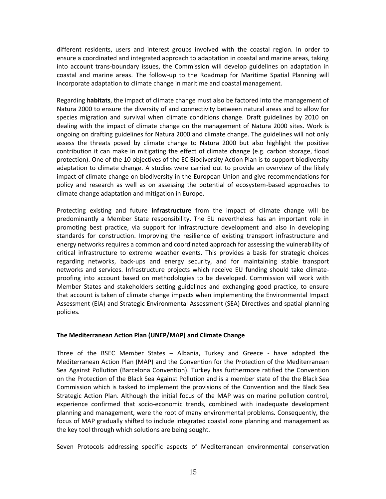different residents, users and interest groups involved with the coastal region. In order to ensure a coordinated and integrated approach to adaptation in coastal and marine areas, taking into account trans-boundary issues, the Commission will develop guidelines on adaptation in coastal and marine areas. The follow-up to the Roadmap for Maritime Spatial Planning will incorporate adaptation to climate change in maritime and coastal management.

Regarding **habitats**, the impact of climate change must also be factored into the management of Natura 2000 to ensure the diversity of and connectivity between natural areas and to allow for species migration and survival when climate conditions change. Draft guidelines by 2010 on dealing with the impact of climate change on the management of Natura 2000 sites. Work is ongoing on drafting guidelines for Natura 2000 and climate change. The guidelines will not only assess the threats posed by climate change to Natura 2000 but also highlight the positive contribution it can make in mitigating the effect of climate change (e.g. carbon storage, flood protection). One of the 10 objectives of the EC Biodiversity Action Plan is to support biodiversity adaptation to climate change. A studies were carried out to provide an overview of the likely impact of climate change on biodiversity in the European Union and give recommendations for policy and research as well as on assessing the potential of ecosystem-based approaches to climate change adaptation and mitigation in Europe.

Protecting existing and future **infrastructure** from the impact of climate change will be predominantly a Member State responsibility. The EU nevertheless has an important role in promoting best practice, via support for infrastructure development and also in developing standards for construction. Improving the resilience of existing transport infrastructure and energy networks requires a common and coordinated approach for assessing the vulnerability of critical infrastructure to extreme weather events. This provides a basis for strategic choices regarding networks, back-ups and energy security, and for maintaining stable transport networks and services. Infrastructure projects which receive EU funding should take climateproofing into account based on methodologies to be developed. Commission will work with Member States and stakeholders setting guidelines and exchanging good practice, to ensure that account is taken of climate change impacts when implementing the Environmental Impact Assessment (EIA) and Strategic Environmental Assessment (SEA) Directives and spatial planning policies.

### <span id="page-14-0"></span>**The Mediterranean Action Plan (UNEP/MAP) and Climate Change**

Three of the BSEC Member States – Albania, Turkey and Greece - have adopted the Mediterranean Action Plan (MAP) and the Convention for the Protection of the Mediterranean Sea Against Pollution (Barcelona Convention). Turkey has furthermore ratified the Convention on the Protection of the Black Sea Against Pollution and is a member state of the the Black Sea Commission which is tasked to implement the provisions of the Convention and the Black Sea Strategic Action Plan. Although the initial focus of the MAP was on marine pollution control, experience confirmed that socio-economic trends, combined with inadequate development planning and management, were the root of many environmental problems. Consequently, the focus of MAP gradually shifted to include integrated coastal zone planning and management as the key tool through which solutions are being sought.

Seven Protocols addressing specific aspects of Mediterranean environmental conservation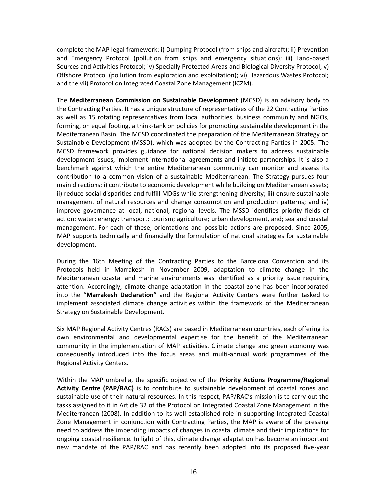complete the MAP legal framework: i) Dumping Protocol (from ships and aircraft); ii) Prevention and Emergency Protocol (pollution from ships and emergency situations); iii) Land-based Sources and Activities Protocol; iv) Specially Protected Areas and Biological Diversity Protocol; v) Offshore Protocol (pollution from exploration and exploitation); vi) Hazardous Wastes Protocol; and the vii) Protocol on Integrated Coastal Zone Management (ICZM).

The **Mediterranean Commission on Sustainable Development** (MCSD) is an advisory body to the Contracting Parties. It has a unique structure of representatives of the 22 Contracting Parties as well as 15 rotating representatives from local authorities, business community and NGOs, forming, on equal footing, a think-tank on policies for promoting sustainable development in the Mediterranean Basin. The MCSD coordinated the preparation of the Mediterranean Strategy on Sustainable Development (MSSD), which was adopted by the Contracting Parties in 2005. The MCSD framework provides guidance for national decision makers to address sustainable development issues, implement international agreements and initiate partnerships. It is also a benchmark against which the entire Mediterranean community can monitor and assess its contribution to a common vision of a sustainable Mediterranean. The Strategy pursues four main directions: i) contribute to economic development while building on Mediterranean assets; ii) reduce social disparities and fulfill MDGs while strengthening diversity; iii) ensure sustainable management of natural resources and change consumption and production patterns; and iv) improve governance at local, national, regional levels. The MSSD identifies priority fields of action: water; energy; transport; tourism; agriculture; urban development, and; sea and coastal management. For each of these, orientations and possible actions are proposed. Since 2005, MAP supports technically and financially the formulation of national strategies for sustainable development.

During the 16th Meeting of the Contracting Parties to the Barcelona Convention and its Protocols held in Marrakesh in November 2009, adaptation to climate change in the Mediterranean coastal and marine environments was identified as a priority issue requiring attention. Accordingly, climate change adaptation in the coastal zone has been incorporated into the "**Marrakesh Declaration**" and the Regional Activity Centers were further tasked to implement associated climate change activities within the framework of the Mediterranean Strategy on Sustainable Development.

Six MAP Regional Activity Centres (RACs) are based in Mediterranean countries, each offering its own environmental and developmental expertise for the benefit of the Mediterranean community in the implementation of MAP activities. Climate change and green economy was consequently introduced into the focus areas and multi-annual work programmes of the Regional Activity Centers.

Within the MAP umbrella, the specific objective of the **Priority Actions Programme/Regional Activity Centre (PAP/RAC)** is to contribute to sustainable development of coastal zones and sustainable use of their natural resources. In this respect, PAP/RAC's mission is to carry out the tasks assigned to it in Article 32 of the Protocol on Integrated Coastal Zone Management in the Mediterranean (2008). In addition to its well-established role in supporting Integrated Coastal Zone Management in conjunction with Contracting Parties, the MAP is aware of the pressing need to address the impending impacts of changes in coastal climate and their implications for ongoing coastal resilience. In light of this, climate change adaptation has become an important new mandate of the PAP/RAC and has recently been adopted into its proposed five-year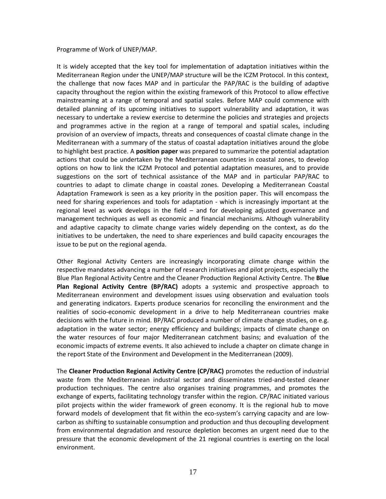#### Programme of Work of UNEP/MAP.

It is widely accepted that the key tool for implementation of adaptation initiatives within the Mediterranean Region under the UNEP/MAP structure will be the ICZM Protocol. In this context, the challenge that now faces MAP and in particular the PAP/RAC is the building of adaptive capacity throughout the region within the existing framework of this Protocol to allow effective mainstreaming at a range of temporal and spatial scales. Before MAP could commence with detailed planning of its upcoming initiatives to support vulnerability and adaptation, it was necessary to undertake a review exercise to determine the policies and strategies and projects and programmes active in the region at a range of temporal and spatial scales, including provision of an overview of impacts, threats and consequences of coastal climate change in the Mediterranean with a summary of the status of coastal adaptation initiatives around the globe to highlight best practice. A **position paper** was prepared to summarize the potential adaptation actions that could be undertaken by the Mediterranean countries in coastal zones, to develop options on how to link the ICZM Protocol and potential adaptation measures, and to provide suggestions on the sort of technical assistance of the MAP and in particular PAP/RAC to countries to adapt to climate change in coastal zones. Developing a Mediterranean Coastal Adaptation Framework is seen as a key priority in the position paper. This will encompass the need for sharing experiences and tools for adaptation - which is increasingly important at the regional level as work develops in the field – and for developing adjusted governance and management techniques as well as economic and financial mechanisms. Although vulnerability and adaptive capacity to climate change varies widely depending on the context, as do the initiatives to be undertaken, the need to share experiences and build capacity encourages the issue to be put on the regional agenda.

Other Regional Activity Centers are increasingly incorporating climate change within the respective mandates advancing a number of research initiatives and pilot projects, especially the Blue Plan Regional Activity Centre and the Cleaner Production Regional Activity Centre. The **Blue Plan Regional Activity Centre (BP/RAC)** adopts a systemic and prospective approach to Mediterranean environment and development issues using observation and evaluation tools and generating indicators. Experts produce scenarios for reconciling the environment and the realities of socio-economic development in a drive to help Mediterranean countries make decisions with the future in mind. BP/RAC produced a number of climate change studies, on e.g. adaptation in the water sector; energy efficiency and buildings; impacts of climate change on the water resources of four major Mediterranean catchment basins; and evaluation of the economic impacts of extreme events. It also achieved to include a chapter on climate change in the report State of the Environment and Development in the Mediterranean (2009).

The **Cleaner Production Regional Activity Centre (CP/RAC)** promotes the reduction of industrial waste from the Mediterranean industrial sector and disseminates tried-and-tested cleaner production techniques. The centre also organises training programmes, and promotes the exchange of experts, facilitating technology transfer within the region. CP/RAC initiated various pilot projects within the wider framework of green economy. It is the regional hub to move forward models of development that fit within the eco-system's carrying capacity and are lowcarbon as shifting to sustainable consumption and production and thus decoupling development from environmental degradation and resource depletion becomes an urgent need due to the pressure that the economic development of the 21 regional countries is exerting on the local environment.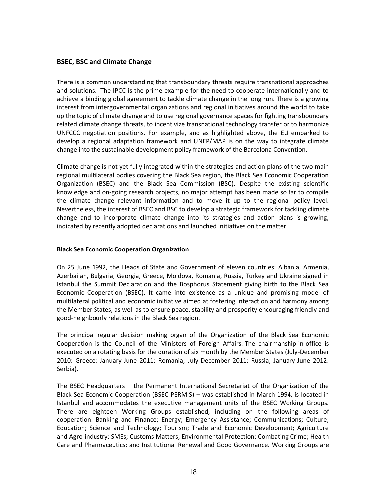## <span id="page-17-0"></span>**BSEC, BSC and Climate Change**

There is a common understanding that transboundary threats require transnational approaches and solutions. The IPCC is the prime example for the need to cooperate internationally and to achieve a binding global agreement to tackle climate change in the long run. There is a growing interest from intergovernmental organizations and regional initiatives around the world to take up the topic of climate change and to use regional governance spaces for fighting transboundary related climate change threats, to incentivize transnational technology transfer or to harmonize UNFCCC negotiation positions. For example, and as highlighted above, the EU embarked to develop a regional adaptation framework and UNEP/MAP is on the way to integrate climate change into the sustainable development policy framework of the Barcelona Convention.

Climate change is not yet fully integrated within the strategies and action plans of the two main regional multilateral bodies covering the Black Sea region, the Black Sea Economic Cooperation Organization (BSEC) and the Black Sea Commission (BSC). Despite the existing scientific knowledge and on-going research projects, no major attempt has been made so far to compile the climate change relevant information and to move it up to the regional policy level. Nevertheless, the interest of BSEC and BSC to develop a strategic framework for tackling climate change and to incorporate climate change into its strategies and action plans is growing, indicated by recently adopted declarations and launched initiatives on the matter.

### <span id="page-17-1"></span>**Black Sea Economic Cooperation Organization**

On 25 June 1992, the Heads of State and Government of eleven countries: Albania, Armenia, Azerbaijan, Bulgaria, Georgia, Greece, Moldova, Romania, Russia, Turkey and Ukraine signed in Istanbul the Summit Declaration and the Bosphorus Statement giving birth to the Black Sea Economic Cooperation (BSEC). It came into existence as a unique and promising model of multilateral political and economic initiative aimed at fostering interaction and harmony among the Member States, as well as to ensure peace, stability and prosperity encouraging friendly and good-neighbourly relations in the Black Sea region.

The principal regular decision making organ of the Organization of the Black Sea Economic Cooperation is the Council of the Ministers of Foreign Affairs. The chairmanship-in-office is executed on a rotating basis for the duration of six month by the Member States (July-December 2010: Greece; January-June 2011: Romania; July-December 2011: Russia; January-June 2012: Serbia).

The BSEC Headquarters – the Permanent International Secretariat of the Organization of the Black Sea Economic Cooperation (BSEC PERMIS) – was established in March 1994, is located in Istanbul and accommodates the executive management units of the BSEC Working Groups. There are eighteen Working Groups established, including on the following areas of cooperation: Banking and Finance; Energy; Emergency Assistance; Communications; Culture; Education; Science and Technology; Tourism; Trade and Economic Development; Agriculture and Agro-industry; SMEs; Customs Matters; Environmental Protection; Combating Crime; Health Care and Pharmaceutics; and Institutional Renewal and Good Governance. Working Groups are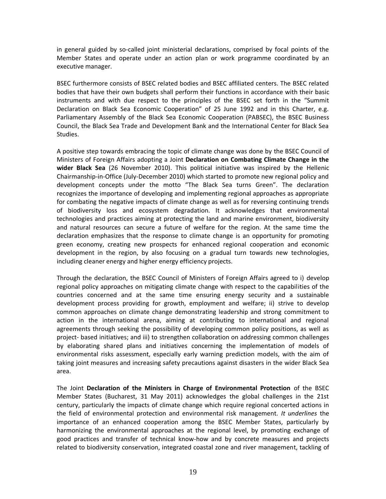in general guided by so-called joint ministerial declarations, comprised by focal points of the Member States and operate under an action plan or work programme coordinated by an executive manager.

BSEC furthermore consists of BSEC related bodies and BSEC affiliated centers. The BSEC related bodies that have their own budgets shall perform their functions in accordance with their basic instruments and with due respect to the principles of the BSEC set forth in the "Summit Declaration on Black Sea Economic Cooperation" of 25 June 1992 and in this Charter, e.g. Parliamentary Assembly of the Black Sea Economic Cooperation (PABSEC), the BSEC Business Council, the Black Sea Trade and Development Bank and the International Center for Black Sea Studies.

A positive step towards embracing the topic of climate change was done by the BSEC Council of Ministers of Foreign Affairs adopting a Joint **Declaration on Combating Climate Change in the wider Black Sea** (26 November 2010). This political initiative was inspired by the Hellenic Chairmanship-in-Office (July-December 2010) which started to promote new regional policy and development concepts under the motto "The Black Sea turns Green". The declaration recognizes the importance of developing and implementing regional approaches as appropriate for combating the negative impacts of climate change as well as for reversing continuing trends of biodiversity loss and ecosystem degradation. It acknowledges that environmental technologies and practices aiming at protecting the land and marine environment, biodiversity and natural resources can secure a future of welfare for the region. At the same time the declaration emphasizes that the response to climate change is an opportunity for promoting green economy, creating new prospects for enhanced regional cooperation and economic development in the region, by also focusing on a gradual turn towards new technologies, including cleaner energy and higher energy efficiency projects.

Through the declaration, the BSEC Council of Ministers of Foreign Affairs agreed to i) develop regional policy approaches on mitigating climate change with respect to the capabilities of the countries concerned and at the same time ensuring energy security and a sustainable development process providing for growth, employment and welfare; ii) strive to develop common approaches on climate change demonstrating leadership and strong commitment to action in the international arena, aiming at contributing to international and regional agreements through seeking the possibility of developing common policy positions, as well as project- based initiatives; and iii) to strengthen collaboration on addressing common challenges by elaborating shared plans and initiatives concerning the implementation of models of environmental risks assessment, especially early warning prediction models, with the aim of taking joint measures and increasing safety precautions against disasters in the wider Black Sea area.

The Joint **Declaration of the Ministers in Charge of Environmental Protection** of the BSEC Member States (Bucharest, 31 May 2011) acknowledges the global challenges in the 21st century, particularly the impacts of climate change which require regional concerted actions in the field of environmental protection and environmental risk management. *It underlines* the importance of an enhanced cooperation among the BSEC Member States, particularly by harmonizing the environmental approaches at the regional level, by promoting exchange of good practices and transfer of technical know-how and by concrete measures and projects related to biodiversity conservation, integrated coastal zone and river management, tackling of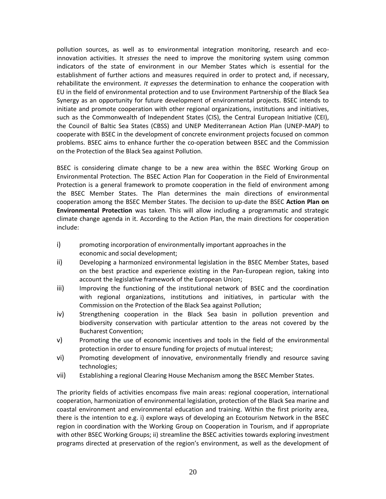pollution sources, as well as to environmental integration monitoring, research and ecoinnovation activities. It *stresses* the need to improve the monitoring system using common indicators of the state of environment in our Member States which is essential for the establishment of further actions and measures required in order to protect and, if necessary, rehabilitate the environment. *It expresses* the determination to enhance the cooperation with EU in the field of environmental protection and to use Environment Partnership of the Black Sea Synergy as an opportunity for future development of environmental projects. BSEC intends to initiate and promote cooperation with other regional organizations, institutions and initiatives, such as the Commonwealth of Independent States (CIS), the Central European Initiative (CEI), the Council of Baltic Sea States (CBSS) and UNEP Mediterranean Action Plan (UNEP-MAP) to cooperate with BSEC in the development of concrete environment projects focused on common problems. BSEC aims to enhance further the co-operation between BSEC and the Commission on the Protection of the Black Sea against Pollution.

BSEC is considering climate change to be a new area within the BSEC Working Group on Environmental Protection. The BSEC Action Plan for Cooperation in the Field of Environmental Protection is a general framework to promote cooperation in the field of environment among the BSEC Member States. The Plan determines the main directions of environmental cooperation among the BSEC Member States. The decision to up-date the BSEC **Action Plan on Environmental Protection** was taken. This will allow including a programmatic and strategic climate change agenda in it. According to the Action Plan, the main directions for cooperation include:

- i) promoting incorporation of environmentally important approaches in the economic and social development;
- ii) Developing a harmonized environmental legislation in the BSEC Member States, based on the best practice and experience existing in the Pan-European region, taking into account the legislative framework of the European Union;
- iii) Improving the functioning of the institutional network of BSEC and the coordination with regional organizations, institutions and initiatives, in particular with the Commission on the Protection of the Black Sea against Pollution;
- iv) Strengthening cooperation in the Black Sea basin in pollution prevention and biodiversity conservation with particular attention to the areas not covered by the Bucharest Convention;
- v) Promoting the use of economic incentives and tools in the field of the environmental protection in order to ensure funding for projects of mutual interest;
- vi) Promoting development of innovative, environmentally friendly and resource saving technologies;
- vii) Establishing a regional Clearing House Mechanism among the BSEC Member States.

The priority fields of activities encompass five main areas: regional cooperation, international cooperation, harmonization of environmental legislation, protection of the Black Sea marine and coastal environment and environmental education and training. Within the first priority area, there is the intention to e.g. i) explore ways of developing an Ecotourism Network in the BSEC region in coordination with the Working Group on Cooperation in Tourism, and if appropriate with other BSEC Working Groups; ii) streamline the BSEC activities towards exploring investment programs directed at preservation of the region's environment, as well as the development of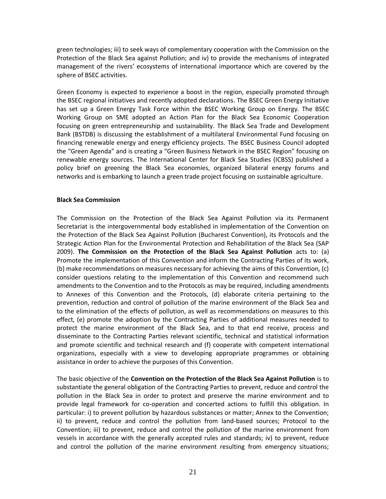green technologies; iii) to seek ways of complementary cooperation with the Commission on the Protection of the Black Sea against Pollution; and iv) to provide the mechanisms of integrated management of the rivers' ecosystems of international importance which are covered by the sphere of BSEC activities.

Green Economy is expected to experience a boost in the region, especially promoted through the BSEC regional initiatives and recently adopted declarations. The BSEC Green Energy Initiative has set up a Green Energy Task Force within the BSEC Working Group on Energy. The BSEC Working Group on SME adopted an Action Plan for the Black Sea Economic Cooperation focusing on green entrepreneurship and sustainability. The Black Sea Trade and Development Bank (BSTDB) is discussing the establishment of a multilateral Environmental Fund focusing on financing renewable energy and energy efficiency projects. The BSEC Business Council adopted the "Green Agenda" and is creating a "Green Business Network in the BSEC Region" focusing on renewable energy sources. The International Center for Black Sea Studies (ICBSS) published a policy brief on greening the Black Sea economies, organized bilateral energy forums and networks and is embarking to launch a green trade project focusing on sustainable agriculture.

#### <span id="page-20-0"></span>**Black Sea Commission**

The Commission on the Protection of the Black Sea Against Pollution via its Permanent Secretariat is the intergovernmental body established in implementation of the Convention on the Protection of the Black Sea Against Pollution (Bucharest Convention), its Protocols and the Strategic Action Plan for the Environmental Protection and Rehabilitation of the Black Sea (SAP 2009). **The Commission on the Protection of the Black Sea Against Pollution** acts to: (a) Promote the implementation of this Convention and inform the Contracting Parties of its work, (b) make recommendations on measures necessary for achieving the aims of this Convention, (c) consider questions relating to the implementation of this Convention and recommend such amendments to the Convention and to the Protocols as may be required, including amendments to Annexes of this Convention and the Protocols, (d) elaborate criteria pertaining to the prevention, reduction and control of pollution of the marine environment of the Black Sea and to the elimination of the effects of pollution, as well as recommendations on measures to this effect, (e) promote the adoption by the Contracting Parties of additional measures needed to protect the marine environment of the Black Sea, and to that end receive, process and disseminate to the Contracting Parties relevant scientific, technical and statistical information and promote scientific and technical research and (f) cooperate with competent international organizations, especially with a view to developing appropriate programmes or obtaining assistance in order to achieve the purposes of this Convention.

The basic objective of the **Convention on the Protection of the Black Sea Against Pollution** is to substantiate the general obligation of the Contracting Parties to prevent, reduce and control the pollution in the Black Sea in order to protect and preserve the marine environment and to provide legal framework for co-operation and concerted actions to fulfill this obligation. In particular: i) to prevent pollution by hazardous substances or matter; Annex to the Convention; ii) to prevent, reduce and control the pollution from land-based sources; Protocol to the Convention; iii) to prevent, reduce and control the pollution of the marine environment from vessels in accordance with the generally accepted rules and standards; iv) to prevent, reduce and control the pollution of the marine environment resulting from emergency situations;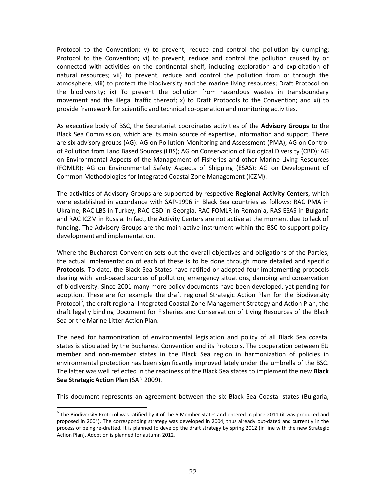Protocol to the Convention; v) to prevent, reduce and control the pollution by dumping; Protocol to the Convention; vi) to prevent, reduce and control the pollution caused by or connected with activities on the continental shelf, including exploration and exploitation of natural resources; vii) to prevent, reduce and control the pollution from or through the atmosphere; viii) to protect the biodiversity and the marine living resources; Draft Protocol on the biodiversity; ix) To prevent the pollution from hazardous wastes in transboundary movement and the illegal traffic thereof; x) to Draft Protocols to the Convention; and xi) to provide framework for scientific and technical co-operation and monitoring activities.

As executive body of BSC, the Secretariat coordinates activities of the **Advisory Groups** to the Black Sea Commission, which are its main source of expertise, information and support. There are six advisory groups (AG): AG on Pollution Monitoring and Assessment (PMA); AG on Control of Pollution from Land Based Sources (LBS); AG on Conservation of Biological Diversity (CBD); AG on Environmental Aspects of the Management of Fisheries and other Marine Living Resources (FOMLR); AG on Environmental Safety Aspects of Shipping (ESAS); AG on Development of Common Methodologies for Integrated Coastal Zone Management (ICZM).

The activities of Advisory Groups are supported by respective **Regional Activity Centers**, which were established in accordance with SAP-1996 in Black Sea countries as follows: RAC PMA in Ukraine, RAC LBS in Turkey, RAC CBD in Georgia, RAC FOMLR in Romania, RAS ESAS in Bulgaria and RAC ICZM in Russia. In fact, the Activity Centers are not active at the moment due to lack of funding. The Advisory Groups are the main active instrument within the BSC to support policy development and implementation.

Where the Bucharest Convention sets out the overall objectives and obligations of the Parties, the actual implementation of each of these is to be done through more detailed and specific **Protocols**. To date, the Black Sea States have ratified or adopted four implementing protocols dealing with land‐based sources of pollution, emergency situations, damping and conservation of biodiversity. Since 2001 many more policy documents have been developed, yet pending for adoption. These are for example the draft regional Strategic Action Plan for the Biodiversity Protocol<sup>6</sup>, the draft regional Integrated Coastal Zone Management Strategy and Action Plan, the draft legally binding Document for Fisheries and Conservation of Living Resources of the Black Sea or the Marine Litter Action Plan.

The need for harmonization of environmental legislation and policy of all Black Sea coastal states is stipulated by the Bucharest Convention and its Protocols. The cooperation between EU member and non‐member states in the Black Sea region in harmonization of policies in environmental protection has been significantly improved lately under the umbrella of the BSC. The latter was well reflected in the readiness of the Black Sea states to implement the new **Black Sea Strategic Action Plan** (SAP 2009).

This document represents an agreement between the six Black Sea Coastal states (Bulgaria,

 $\overline{a}$ 

 $^6$  The Biodiversity Protocol was ratified by 4 of the 6 Member States and entered in place 2011 (it was produced and proposed in 2004). The corresponding strategy was developed in 2004, thus already out-dated and currently in the process of being re-drafted. It is planned to develop the draft strategy by spring 2012 (in line with the new Strategic Action Plan). Adoption is planned for autumn 2012.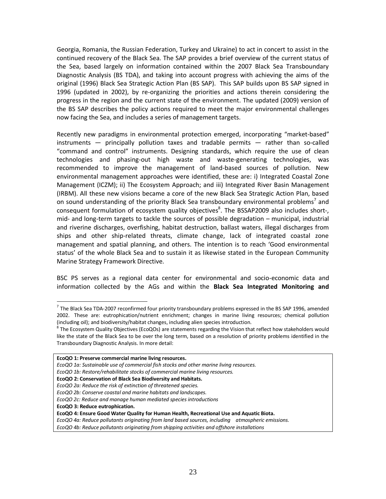Georgia, Romania, the Russian Federation, Turkey and Ukraine) to act in concert to assist in the continued recovery of the Black Sea. The SAP provides a brief overview of the current status of the Sea, based largely on information contained within the 2007 Black Sea Transboundary Diagnostic Analysis (BS TDA), and taking into account progress with achieving the aims of the original (1996) Black Sea Strategic Action Plan (BS SAP). This SAP builds upon BS SAP signed in 1996 (updated in 2002), by re-organizing the priorities and actions therein considering the progress in the region and the current state of the environment. The updated (2009) version of the BS SAP describes the policy actions required to meet the major environmental challenges now facing the Sea, and includes a series of management targets.

Recently new paradigms in environmental protection emerged, incorporating "market‐based"  $in$ struments  $-$  principally pollution taxes and tradable permits  $-$  rather than so-called "command and control" instruments. Designing standards, which require the use of clean technologies and phasing‐out high waste and waste‐generating technologies, was recommended to improve the management of land‐based sources of pollution. New environmental management approaches were identified, these are: i) Integrated Coastal Zone Management (ICZM); ii) The Ecosystem Approach; and iii) Integrated River Basin Management (IRBM). All these new visions became a core of the new Black Sea Strategic Action Plan, based on sound understanding of the priority Black Sea transboundary environmental problems<sup>7</sup> and consequent formulation of ecosystem quality objectives<sup>8</sup>. The BSSAP2009 also includes short-, mid‐ and long‐term targets to tackle the sources of possible degradation – municipal, industrial and riverine discharges, overfishing, habitat destruction, ballast waters, illegal discharges from ships and other ship-related threats, climate change, lack of integrated coastal zone management and spatial planning, and others. The intention is to reach 'Good environmental status' of the whole Black Sea and to sustain it as likewise stated in the European Community Marine Strategy Framework Directive.

BSC PS serves as a regional data center for environmental and socio-economic data and information collected by the AGs and within the **Black Sea Integrated Monitoring and** 

 $\overline{a}$ 

 $^7$  The Black Sea TDA-2007 reconfirmed four priority transboundary problems expressed in the BS SAP 1996, amended 2002. These are: eutrophication/nutrient enrichment; changes in marine living resources; chemical pollution (including oil); and biodiversity/habitat changes, including alien species introduction.

 $^8$  The Ecosystem Quality Objectives (EcoQOs) are statements regarding the Vision that reflect how stakeholders would like the state of the Black Sea to be over the long term, based on a resolution of priority problems identified in the Transboundary Diagnostic Analysis. In more detail:

**EcoQO 1: Preserve commercial marine living resources.**

*EcoQO 1a: Sustainable use of commercial fish stocks and other marine living resources.*

*EcoQO 1b: Restore/rehabilitate stocks of commercial marine living resources.*

**EcoQO 2: Conservation of Black Sea Biodiversity and Habitats.** 

*EcoQO 2a: Reduce the risk of extinction of threatened species.*

*EcoQO 2b: Conserve coastal and marine habitats and landscapes.*

*EcoQO 2c: Reduce and manage human mediated species introductions* 

**EcoQO 3: Reduce eutrophication.**

**EcoQO 4: Ensure Good Water Quality for Human Health, Recreational Use and Aquatic Biota.** 

*EcoQO 4a: Reduce pollutants originating from land based sources, including atmospheric emissions.*

*EcoQO 4b: Reduce pollutants originating from shipping activities and offshore installations*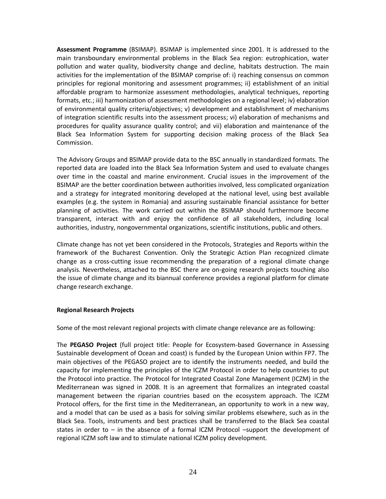**Assessment Programme** (BSIMAP). BSIMAP is implemented since 2001. It is addressed to the main transboundary environmental problems in the Black Sea region: eutrophication, water pollution and water quality, biodiversity change and decline, habitats destruction. The main activities for the implementation of the BSIMAP comprise of: i) reaching consensus on common principles for regional monitoring and assessment programmes; ii) establishment of an initial affordable program to harmonize assessment methodologies, analytical techniques, reporting formats, etc.; iii) harmonization of assessment methodologies on a regional level; iv) elaboration of environmental quality criteria/objectives; v) development and establishment of mechanisms of integration scientific results into the assessment process; vi) elaboration of mechanisms and procedures for quality assurance quality control; and vii) elaboration and maintenance of the Black Sea Information System for supporting decision making process of the Black Sea Commission.

The Advisory Groups and BSIMAP provide data to the BSC annually in standardized formats. The reported data are loaded into the Black Sea Information System and used to evaluate changes over time in the coastal and marine environment. Crucial issues in the improvement of the BSIMAP are the better coordination between authorities involved, less complicated organization and a strategy for integrated monitoring developed at the national level, using best available examples (e.g. the system in Romania) and assuring sustainable financial assistance for better planning of activities. The work carried out within the BSIMAP should furthermore become transparent, interact with and enjoy the confidence of all stakeholders, including local authorities, industry, nongovernmental organizations, scientific institutions, public and others.

Climate change has not yet been considered in the Protocols, Strategies and Reports within the framework of the Bucharest Convention. Only the Strategic Action Plan recognized climate change as a cross-cutting issue recommending the preparation of a regional climate change analysis. Nevertheless, attached to the BSC there are on-going research projects touching also the issue of climate change and its biannual conference provides a regional platform for climate change research exchange.

### <span id="page-23-0"></span>**Regional Research Projects**

Some of the most relevant regional projects with climate change relevance are as following:

The **PEGASO Project** (full project title: People for Ecosystem-based Governance in Assessing Sustainable development of Ocean and coast) is funded by the European Union within FP7. The main objectives of the PEGASO project are to identify the instruments needed, and build the capacity for implementing the principles of the ICZM Protocol in order to help countries to put the Protocol into practice. The Protocol for Integrated Coastal Zone Management (ICZM) in the Mediterranean was signed in 2008. It is an agreement that formalizes an integrated coastal management between the riparian countries based on the ecosystem approach. The ICZM Protocol offers, for the first time in the Mediterranean, an opportunity to work in a new way, and a model that can be used as a basis for solving similar problems elsewhere, such as in the Black Sea. Tools, instruments and best practices shall be transferred to the Black Sea coastal states in order to  $-$  in the absence of a formal ICZM Protocol  $-$ support the development of regional ICZM soft law and to stimulate national ICZM policy development.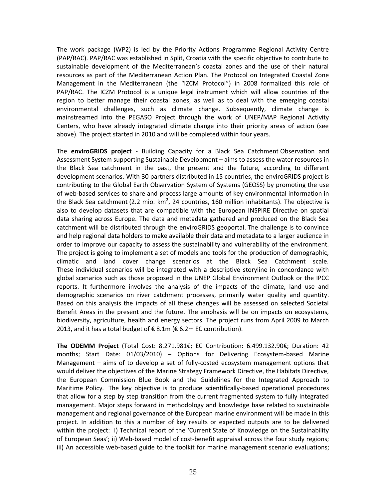The work package (WP2) is led by the Priority Actions Programme Regional Activity Centre (PAP/RAC). PAP/RAC was established in Split, Croatia with the specific objective to contribute to sustainable development of the Mediterranean's coastal zones and the use of their natural resources as part of the Mediterranean Action Plan. The Protocol on Integrated Coastal Zone Management in the Mediterranean (the "IZCM Protocol") in 2008 formalized this role of PAP/RAC. The ICZM Protocol is a unique legal instrument which will allow countries of the region to better manage their coastal zones, as well as to deal with the emerging coastal environmental challenges, such as climate change. Subsequently, climate change is mainstreamed into the PEGASO Project through the work of UNEP/MAP Regional Activity Centers, who have already integrated climate change into their priority areas of action (see above). The project started in 2010 and will be completed within four years.

The **enviroGRIDS project** - Building Capacity for a Black Sea Catchment Observation and Assessment System supporting Sustainable Development – aims to assess the water resources in the Black Sea catchment in the past, the present and the future, according to different development scenarios. With 30 partners distributed in 15 countries, the enviroGRIDS project is contributing to the Global Earth Observation System of Systems (GEOSS) by promoting the use of web-based services to share and process large amounts of key environmental information in the Black Sea catchment (2.2 mio.  $km^2$ , 24 countries, 160 million inhabitants). The objective is also to develop datasets that are compatible with the European INSPIRE Directive on spatial data sharing across Europe. The data and metadata gathered and produced on the Black Sea catchment will be distributed through the enviroGRIDS geoportal. The challenge is to convince and help regional data holders to make available their data and metadata to a larger audience in order to improve our capacity to assess the sustainability and vulnerability of the environment. The project is going to implement a set of models and tools for the production of demographic, climatic and land cover change scenarios at the Black Sea Catchment scale. These individual scenarios will be integrated with a descriptive storyline in concordance with global scenarios such as those proposed in the UNEP Global Environment Outlook or the IPCC reports. It furthermore involves the analysis of the impacts of the climate, land use and demographic scenarios on river catchment processes, primarily water quality and quantity. Based on this analysis the impacts of all these changes will be assessed on selected Societal Benefit Areas in the present and the future. The emphasis will be on impacts on ecosystems, biodiversity, agriculture, health and energy sectors. The project runs from April 2009 to March 2013, and it has a total budget of €8.1m (€6.2m EC contribution).

**The ODEMM Project** (Total Cost: 8.271.981€; EC Contribution: 6.499.132.90€; Duration: 42 months; Start Date: 01/03/2010) – Options for Delivering Ecosystem-based Marine Management – aims of to develop a set of fully-costed ecosystem management options that would deliver the objectives of the Marine Strategy Framework Directive, the Habitats Directive, the European Commission Blue Book and the Guidelines for the Integrated Approach to Maritime Policy. The key objective is to produce scientifically-based operational procedures that allow for a step by step transition from the current fragmented system to fully integrated management. Major steps forward in methodology and knowledge base related to sustainable management and regional governance of the European marine environment will be made in this project. In addition to this a number of key results or expected outputs are to be delivered within the project: i) Technical report of the 'Current State of Knowledge on the Sustainability of European Seas'; ii) Web-based model of cost-benefit appraisal across the four study regions; iii) An accessible web-based guide to the toolkit for marine management scenario evaluations;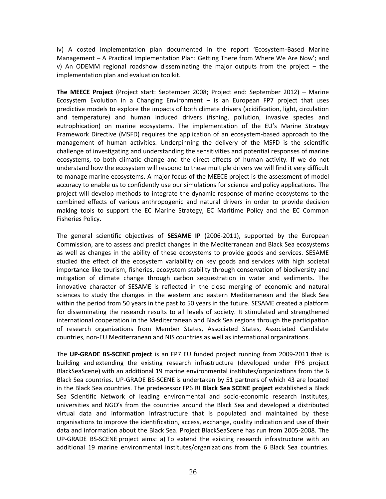iv) A costed implementation plan documented in the report 'Ecosystem-Based Marine Management – A Practical Implementation Plan: Getting There from Where We Are Now'; and v) An ODEMM regional roadshow disseminating the major outputs from the project – the implementation plan and evaluation toolkit.

**The MEECE Project** (Project start: September 2008; Project end: September 2012) – Marine Ecosystem Evolution in a Changing Environment – is an European FP7 project that uses predictive models to explore the impacts of both climate drivers (acidification, light, circulation and temperature) and human induced drivers (fishing, pollution, invasive species and eutrophication) on marine ecosystems. The implementation of the EU's Marine Strategy Framework Directive (MSFD) requires the application of an ecosystem-based approach to the management of human activities. Underpinning the delivery of the MSFD is the scientific challenge of investigating and understanding the sensitivities and potential responses of marine ecosystems, to both climatic change and the direct effects of human activity. If we do not understand how the ecosystem will respond to these multiple drivers we will find it very difficult to manage marine ecosystems. A major focus of the MEECE project is the assessment of model accuracy to enable us to confidently use our simulations for science and policy applications. The project will develop methods to integrate the dynamic response of marine ecosystems to the combined effects of various anthropogenic and natural drivers in order to provide decision making tools to support the EC Marine Strategy, EC Maritime Policy and the EC Common Fisheries Policy.

The general scientific objectives of **SESAME IP** (2006-2011), supported by the European Commission, are to assess and predict changes in the Mediterranean and Black Sea ecosystems as well as changes in the ability of these ecosystems to provide goods and services. SESAME studied the effect of the ecosystem variability on key goods and services with high societal importance like tourism, fisheries, ecosystem stability through conservation of biodiversity and mitigation of climate change through carbon sequestration in water and sediments. The innovative character of SESAME is reflected in the close merging of economic and natural sciences to study the changes in the western and eastern Mediterranean and the Black Sea within the period from 50 years in the past to 50 years in the future. SESAME created a platform for disseminating the research results to all levels of society. It stimulated and strengthened international cooperation in the Mediterranean and Black Sea regions through the participation of research organizations from Member States, Associated States, Associated Candidate countries, non-EU Mediterranean and NIS countries as well as international organizations.

The **UP-GRADE BS-SCENE project** is an FP7 EU funded project running from 2009-2011 that is building and extending the existing research infrastructure (developed under FP6 project BlackSeaScene) with an additional 19 marine environmental institutes/organizations from the 6 Black Sea countries. UP-GRADE BS-SCENE is undertaken by 51 partners of which 43 are located in the Black Sea countries. The predecessor FP6 RI **Black Sea SCENE project** established a Black Sea Scientific Network of leading environmental and socio-economic research institutes, universities and NGO's from the countries around the Black Sea and developed a distributed virtual data and information infrastructure that is populated and maintained by these organisations to improve the identification, access, exchange, quality indication and use of their data and information about the Black Sea. Project BlackSeaScene has run from 2005-2008. The UP-GRADE BS-SCENE project aims: a) To extend the existing research infrastructure with an additional 19 marine environmental institutes/organizations from the 6 Black Sea countries.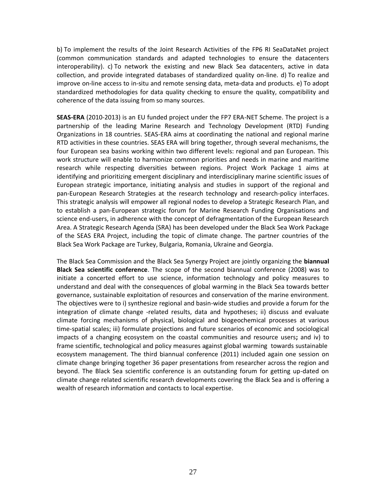b) To implement the results of the Joint Research Activities of the FP6 RI SeaDataNet project (common communication standards and adapted technologies to ensure the datacenters interoperability). c) To network the existing and new Black Sea datacenters, active in data collection, and provide integrated databases of standardized quality on-line. d) To realize and improve on-line access to in-situ and remote sensing data, meta-data and products. e) To adopt standardized methodologies for data quality checking to ensure the quality, compatibility and coherence of the data issuing from so many sources.

**SEAS-ERA** (2010-2013) is an EU funded project under the FP7 ERA-NET Scheme. The project is a partnership of the leading Marine Research and Technology Development (RTD) Funding Organizations in 18 countries. SEAS-ERA aims at coordinating the national and regional marine RTD activities in these countries. SEAS ERA will bring together, through several mechanisms, the four European sea basins working within two different levels: regional and pan European. This work structure will enable to harmonize common priorities and needs in marine and maritime research while respecting diversities between regions. Project Work Package 1 aims at identifying and prioritizing emergent disciplinary and interdisciplinary marine scientific issues of European strategic importance, initiating analysis and studies in support of the regional and pan-European Research Strategies at the research technology and research-policy interfaces. This strategic analysis will empower all regional nodes to develop a Strategic Research Plan, and to establish a pan-European strategic forum for Marine Research Funding Organisations and science end-users, in adherence with the concept of defragmentation of the European Research Area. A Strategic Research Agenda (SRA) has been developed under the Black Sea Work Package of the SEAS ERA Project, including the topic of climate change. The partner countries of the Black Sea Work Package are Turkey, Bulgaria, Romania, Ukraine and Georgia.

The Black Sea Commission and the Black Sea Synergy Project are jointly organizing the **biannual Black Sea scientific conference**. The scope of the second biannual conference (2008) was to initiate a concerted effort to use science, information technology and policy measures to understand and deal with the consequences of global warming in the Black Sea towards better governance, sustainable exploitation of resources and conservation of the marine environment. The objectives were to i) synthesize regional and basin-wide studies and provide a forum for the integration of climate change -related results, data and hypotheses; ii) discuss and evaluate climate forcing mechanisms of physical, biological and biogeochemical processes at various time-spatial scales; iii) formulate projections and future scenarios of economic and sociological impacts of a changing ecosystem on the coastal communities and resource users**;** and iv) to frame scientific, technological and policy measures against global warming towards sustainable ecosystem management. The third biannual conference (2011) included again one session on climate change bringing together 36 paper presentations from researcher across the region and beyond. The Black Sea scientific conference is an outstanding forum for getting up-dated on climate change related scientific research developments covering the Black Sea and is offering a wealth of research information and contacts to local expertise.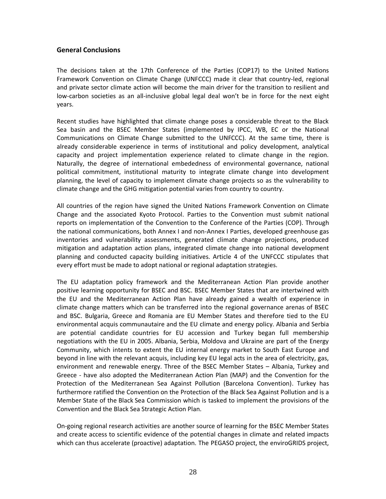## <span id="page-27-0"></span>**General Conclusions**

The decisions taken at the 17th Conference of the Parties (COP17) to the United Nations Framework Convention on Climate Change (UNFCCC) made it clear that country-led, regional and private sector climate action will become the main driver for the transition to resilient and low-carbon societies as an all-inclusive global legal deal won't be in force for the next eight years.

Recent studies have highlighted that climate change poses a considerable threat to the Black Sea basin and the BSEC Member States (implemented by IPCC, WB, EC or the National Communications on Climate Change submitted to the UNFCCC). At the same time, there is already considerable experience in terms of institutional and policy development, analytical capacity and project implementation experience related to climate change in the region. Naturally, the degree of international embededness of environmental governance, national political commitment, institutional maturity to integrate climate change into development planning, the level of capacity to implement climate change projects so as the vulnerability to climate change and the GHG mitigation potential varies from country to country.

All countries of the region have signed the United Nations Framework Convention on Climate Change and the associated Kyoto Protocol. Parties to the Convention must submit national reports on implementation of the Convention to the Conference of the Parties (COP). Through the national communications, both Annex I and non-Annex I Parties, developed greenhouse gas inventories and vulnerability assessments, generated climate change projections, produced mitigation and adaptation action plans, integrated climate change into national development planning and conducted capacity building initiatives. Article 4 of the UNFCCC stipulates that every effort must be made to adopt national or regional adaptation strategies.

The EU adaptation policy framework and the Mediterranean Action Plan provide another positive learning opportunity for BSEC and BSC. BSEC Member States that are intertwined with the EU and the Mediterranean Action Plan have already gained a wealth of experience in climate change matters which can be transferred into the regional governance arenas of BSEC and BSC. Bulgaria, Greece and Romania are EU Member States and therefore tied to the EU environmental acquis communautaire and the EU climate and energy policy. Albania and Serbia are potential candidate countries for EU accession and Turkey began full membership negotiations with the EU in 2005. Albania, Serbia, Moldova and Ukraine are part of the Energy Community, which intents to extent the EU internal energy market to South East Europe and beyond in line with the relevant acquis, including key EU legal acts in the area of electricity, gas, environment and renewable energy. Three of the BSEC Member States – Albania, Turkey and Greece - have also adopted the Mediterranean Action Plan (MAP) and the Convention for the Protection of the Mediterranean Sea Against Pollution (Barcelona Convention). Turkey has furthermore ratified the Convention on the Protection of the Black Sea Against Pollution and is a Member State of the Black Sea Commission which is tasked to implement the provisions of the Convention and the Black Sea Strategic Action Plan.

On-going regional research activities are another source of learning for the BSEC Member States and create access to scientific evidence of the potential changes in climate and related impacts which can thus accelerate (proactive) adaptation. The PEGASO project, the enviroGRIDS project,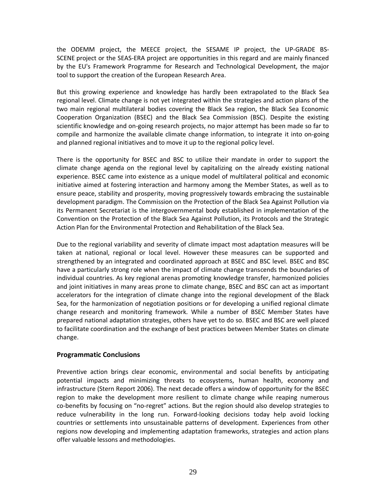the ODEMM project, the MEECE project, the SESAME IP project, the UP-GRADE BS-SCENE project or the SEAS-ERA project are opportunities in this regard and are mainly financed by the EU's Framework Programme for Research and Technological Development, the major tool to support the creation of the European Research Area.

But this growing experience and knowledge has hardly been extrapolated to the Black Sea regional level. Climate change is not yet integrated within the strategies and action plans of the two main regional multilateral bodies covering the Black Sea region, the Black Sea Economic Cooperation Organization (BSEC) and the Black Sea Commission (BSC). Despite the existing scientific knowledge and on-going research projects, no major attempt has been made so far to compile and harmonize the available climate change information, to integrate it into on-going and planned regional initiatives and to move it up to the regional policy level.

There is the opportunity for BSEC and BSC to utilize their mandate in order to support the climate change agenda on the regional level by capitalizing on the already existing national experience. BSEC came into existence as a unique model of multilateral political and economic initiative aimed at fostering interaction and harmony among the Member States, as well as to ensure peace, stability and prosperity, moving progressively towards embracing the sustainable development paradigm. The Commission on the Protection of the Black Sea Against Pollution via its Permanent Secretariat is the intergovernmental body established in implementation of the Convention on the Protection of the Black Sea Against Pollution, its Protocols and the Strategic Action Plan for the Environmental Protection and Rehabilitation of the Black Sea.

Due to the regional variability and severity of climate impact most adaptation measures will be taken at national, regional or local level. However these measures can be supported and strengthened by an integrated and coordinated approach at BSEC and BSC level. BSEC and BSC have a particularly strong role when the impact of climate change transcends the boundaries of individual countries. As key regional arenas promoting knowledge transfer, harmonized policies and joint initiatives in many areas prone to climate change, BSEC and BSC can act as important accelerators for the integration of climate change into the regional development of the Black Sea, for the harmonization of negotiation positions or for developing a unified regional climate change research and monitoring framework. While a number of BSEC Member States have prepared national adaptation strategies, others have yet to do so. BSEC and BSC are well placed to facilitate coordination and the exchange of best practices between Member States on climate change.

## <span id="page-28-0"></span>**Programmatic Conclusions**

Preventive action brings clear economic, environmental and social benefits by anticipating potential impacts and minimizing threats to ecosystems, human health, economy and infrastructure (Stern Report 2006). The next decade offers a window of opportunity for the BSEC region to make the development more resilient to climate change while reaping numerous co-benefits by focusing on "no-regret" actions. But the region should also develop strategies to reduce vulnerability in the long run. Forward‐looking decisions today help avoid locking countries or settlements into unsustainable patterns of development. Experiences from other regions now developing and implementing adaptation frameworks, strategies and action plans offer valuable lessons and methodologies.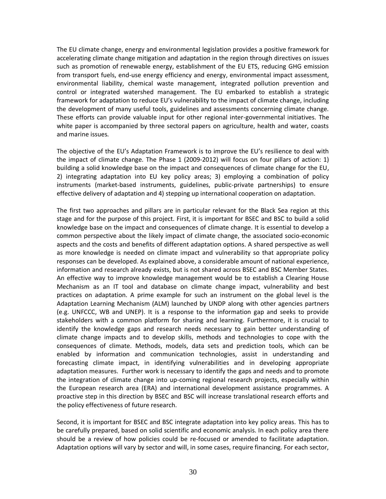The EU climate change, energy and environmental legislation provides a positive framework for accelerating climate change mitigation and adaptation in the region through directives on issues such as promotion of renewable energy, establishment of the EU ETS, reducing GHG emission from transport fuels, end-use energy efficiency and energy, environmental impact assessment, environmental liability, chemical waste management, integrated pollution prevention and control or integrated watershed management. The EU embarked to establish a strategic framework for adaptation to reduce EU's vulnerability to the impact of climate change, including the development of many useful tools, guidelines and assessments concerning climate change. These efforts can provide valuable input for other regional inter-governmental initiatives. The white paper is accompanied by three sectoral papers on agriculture, health and water, coasts and marine issues.

The objective of the EU's Adaptation Framework is to improve the EU's resilience to deal with the impact of climate change. The Phase 1 (2009-2012) will focus on four pillars of action: 1) building a solid knowledge base on the impact and consequences of climate change for the EU, 2) integrating adaptation into EU key policy areas; 3) employing a combination of policy instruments (market-based instruments, guidelines, public-private partnerships) to ensure effective delivery of adaptation and 4) stepping up international cooperation on adaptation.

The first two approaches and pillars are in particular relevant for the Black Sea region at this stage and for the purpose of this project. First, it is important for BSEC and BSC to build a solid knowledge base on the impact and consequences of climate change. It is essential to develop a common perspective about the likely impact of climate change, the associated socio-economic aspects and the costs and benefits of different adaptation options. A shared perspective as well as more knowledge is needed on climate impact and vulnerability so that appropriate policy responses can be developed. As explained above, a considerable amount of national experience, information and research already exists, but is not shared across BSEC and BSC Member States. An effective way to improve knowledge management would be to establish a Clearing House Mechanism as an IT tool and database on climate change impact, vulnerability and best practices on adaptation. A prime example for such an instrument on the global level is the Adaptation Learning Mechanism (ALM) launched by UNDP along with other agencies partners (e.g. UNFCCC, WB and UNEP). It is a response to the information gap and seeks to provide stakeholders with a common platform for sharing and learning. Furthermore, it is crucial to identify the knowledge gaps and research needs necessary to gain better understanding of climate change impacts and to develop skills, methods and technologies to cope with the consequences of climate. Methods, models, data sets and prediction tools, which can be enabled by information and communication technologies, assist in understanding and forecasting climate impact, in identifying vulnerabilities and in developing appropriate adaptation measures. Further work is necessary to identify the gaps and needs and to promote the integration of climate change into up-coming regional research projects, especially within the European research area (ERA) and international development assistance programmes. A proactive step in this direction by BSEC and BSC will increase translational research efforts and the policy effectiveness of future research.

Second, it is important for BSEC and BSC integrate adaptation into key policy areas. This has to be carefully prepared, based on solid scientific and economic analysis. In each policy area there should be a review of how policies could be re-focused or amended to facilitate adaptation. Adaptation options will vary by sector and will, in some cases, require financing. For each sector,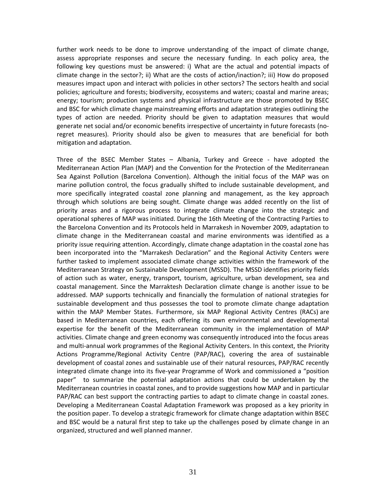further work needs to be done to improve understanding of the impact of climate change, assess appropriate responses and secure the necessary funding. In each policy area, the following key questions must be answered: i) What are the actual and potential impacts of climate change in the sector?; ii) What are the costs of action/inaction?; iii) How do proposed measures impact upon and interact with policies in other sectors? The sectors health and social policies; agriculture and forests; biodiversity, ecosystems and waters; coastal and marine areas; energy; tourism; production systems and physical infrastructure are those promoted by BSEC and BSC for which climate change mainstreaming efforts and adaptation strategies outlining the types of action are needed. Priority should be given to adaptation measures that would generate net social and/or economic benefits irrespective of uncertainty in future forecasts (noregret measures). Priority should also be given to measures that are beneficial for both mitigation and adaptation.

Three of the BSEC Member States – Albania, Turkey and Greece - have adopted the Mediterranean Action Plan (MAP) and the Convention for the Protection of the Mediterranean Sea Against Pollution (Barcelona Convention). Although the initial focus of the MAP was on marine pollution control, the focus gradually shifted to include sustainable development, and more specifically integrated coastal zone planning and management, as the key approach through which solutions are being sought. Climate change was added recently on the list of priority areas and a rigorous process to integrate climate change into the strategic and operational spheres of MAP was initiated. During the 16th Meeting of the Contracting Parties to the Barcelona Convention and its Protocols held in Marrakesh in November 2009, adaptation to climate change in the Mediterranean coastal and marine environments was identified as a priority issue requiring attention. Accordingly, climate change adaptation in the coastal zone has been incorporated into the "Marrakesh Declaration" and the Regional Activity Centers were further tasked to implement associated climate change activities within the framework of the Mediterranean Strategy on Sustainable Development (MSSD). The MSSD identifies priority fields of action such as water, energy, transport, tourism, agriculture, urban development, sea and coastal management. Since the Marraktesh Declaration climate change is another issue to be addressed. MAP supports technically and financially the formulation of national strategies for sustainable development and thus possesses the tool to promote climate change adaptation within the MAP Member States. Furthermore, six MAP Regional Activity Centres (RACs) are based in Mediterranean countries, each offering its own environmental and developmental expertise for the benefit of the Mediterranean community in the implementation of MAP activities. Climate change and green economy was consequently introduced into the focus areas and multi-annual work programmes of the Regional Activity Centers. In this context, the Priority Actions Programme/Regional Activity Centre (PAP/RAC), covering the area of sustainable development of coastal zones and sustainable use of their natural resources, PAP/RAC recently integrated climate change into its five-year Programme of Work and commissioned a "position paper" to summarize the potential adaptation actions that could be undertaken by the Mediterranean countries in coastal zones, and to provide suggestions how MAP and in particular PAP/RAC can best support the contracting parties to adapt to climate change in coastal zones. Developing a Mediterranean Coastal Adaptation Framework was proposed as a key priority in the position paper. To develop a strategic framework for climate change adaptation within BSEC and BSC would be a natural first step to take up the challenges posed by climate change in an organized, structured and well planned manner.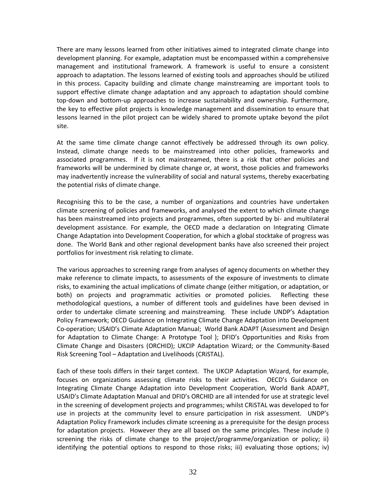There are many lessons learned from other initiatives aimed to integrated climate change into development planning. For example, adaptation must be encompassed within a comprehensive management and institutional framework. A framework is useful to ensure a consistent approach to adaptation. The lessons learned of existing tools and approaches should be utilized in this process. Capacity building and climate change mainstreaming are important tools to support effective climate change adaptation and any approach to adaptation should combine top-down and bottom-up approaches to increase sustainability and ownership. Furthermore, the key to effective pilot projects is knowledge management and dissemination to ensure that lessons learned in the pilot project can be widely shared to promote uptake beyond the pilot site.

At the same time climate change cannot effectively be addressed through its own policy. Instead, climate change needs to be mainstreamed into other policies, frameworks and associated programmes. If it is not mainstreamed, there is a risk that other policies and frameworks will be undermined by climate change or, at worst, those policies and frameworks may inadvertently increase the vulnerability of social and natural systems, thereby exacerbating the potential risks of climate change.

Recognising this to be the case, a number of organizations and countries have undertaken climate screening of policies and frameworks, and analysed the extent to which climate change has been mainstreamed into projects and programmes, often supported by bi- and multilateral development assistance. For example, the OECD made a declaration on Integrating Climate Change Adaptation into Development Cooperation, for which a global stocktake of progress was done. The World Bank and other regional development banks have also screened their project portfolios for investment risk relating to climate.

The various approaches to screening range from analyses of agency documents on whether they make reference to climate impacts, to assessments of the exposure of investments to climate risks, to examining the actual implications of climate change (either mitigation, or adaptation, or both) on projects and programmatic activities or promoted policies. Reflecting these methodological questions, a number of different tools and guidelines have been devised in order to undertake climate screening and mainstreaming. These include UNDP's Adaptation Policy Framework; OECD Guidance on Integrating Climate Change Adaptation into Development Co-operation; USAID's Climate Adaptation Manual; World Bank ADAPT (Assessment and Design for Adaptation to Climate Change: A Prototype Tool ); DFID's Opportunities and Risks from Climate Change and Disasters (ORCHID); UKCIP Adaptation Wizard; or the Community-Based Risk Screening Tool – Adaptation and Livelihoods (CRiSTAL).

Each of these tools differs in their target context. The UKCIP Adaptation Wizard, for example, focuses on organizations assessing climate risks to their activities. OECD's Guidance on Integrating Climate Change Adaptation into Development Cooperation, World Bank ADAPT, USAID's Climate Adaptation Manual and DFID's ORCHID are all intended for use at strategic level in the screening of development projects and programmes; whilst CRiSTAL was developed to for use in projects at the community level to ensure participation in risk assessment. UNDP's Adaptation Policy Framework includes climate screening as a prerequisite for the design process for adaptation projects. However they are all based on the same principles. These include i) screening the risks of climate change to the project/programme/organization or policy; ii) identifying the potential options to respond to those risks; iii) evaluating those options; iv)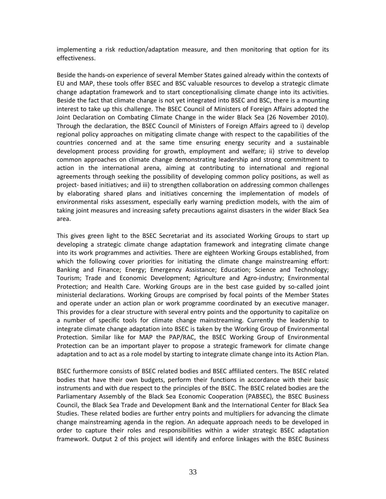implementing a risk reduction/adaptation measure, and then monitoring that option for its effectiveness.

Beside the hands-on experience of several Member States gained already within the contexts of EU and MAP, these tools offer BSEC and BSC valuable resources to develop a strategic climate change adaptation framework and to start conceptionalising climate change into its activities. Beside the fact that climate change is not yet integrated into BSEC and BSC, there is a mounting interest to take up this challenge. The BSEC Council of Ministers of Foreign Affairs adopted the Joint Declaration on Combating Climate Change in the wider Black Sea (26 November 2010). Through the declaration, the BSEC Council of Ministers of Foreign Affairs agreed to i) develop regional policy approaches on mitigating climate change with respect to the capabilities of the countries concerned and at the same time ensuring energy security and a sustainable development process providing for growth, employment and welfare; ii) strive to develop common approaches on climate change demonstrating leadership and strong commitment to action in the international arena, aiming at contributing to international and regional agreements through seeking the possibility of developing common policy positions, as well as project- based initiatives; and iii) to strengthen collaboration on addressing common challenges by elaborating shared plans and initiatives concerning the implementation of models of environmental risks assessment, especially early warning prediction models, with the aim of taking joint measures and increasing safety precautions against disasters in the wider Black Sea area.

This gives green light to the BSEC Secretariat and its associated Working Groups to start up developing a strategic climate change adaptation framework and integrating climate change into its work programmes and activities. There are eighteen Working Groups established, from which the following cover priorities for initiating the climate change mainstreaming effort: Banking and Finance; Energy; Emergency Assistance; Education; Science and Technology; Tourism; Trade and Economic Development; Agriculture and Agro-industry; Environmental Protection; and Health Care. Working Groups are in the best case guided by so-called joint ministerial declarations. Working Groups are comprised by focal points of the Member States and operate under an action plan or work programme coordinated by an executive manager. This provides for a clear structure with several entry points and the opportunity to capitalize on a number of specific tools for climate change mainstreaming. Currently the leadership to integrate climate change adaptation into BSEC is taken by the Working Group of Environmental Protection. Similar like for MAP the PAP/RAC, the BSEC Working Group of Environmental Protection can be an important player to propose a strategic framework for climate change adaptation and to act as a role model by starting to integrate climate change into its Action Plan.

BSEC furthermore consists of BSEC related bodies and BSEC affiliated centers. The BSEC related bodies that have their own budgets, perform their functions in accordance with their basic instruments and with due respect to the principles of the BSEC. The BSEC related bodies are the Parliamentary Assembly of the Black Sea Economic Cooperation (PABSEC), the BSEC Business Council, the Black Sea Trade and Development Bank and the International Center for Black Sea Studies. These related bodies are further entry points and multipliers for advancing the climate change mainstreaming agenda in the region. An adequate approach needs to be developed in order to capture their roles and responsibilities within a wider strategic BSEC adaptation framework. Output 2 of this project will identify and enforce linkages with the BSEC Business